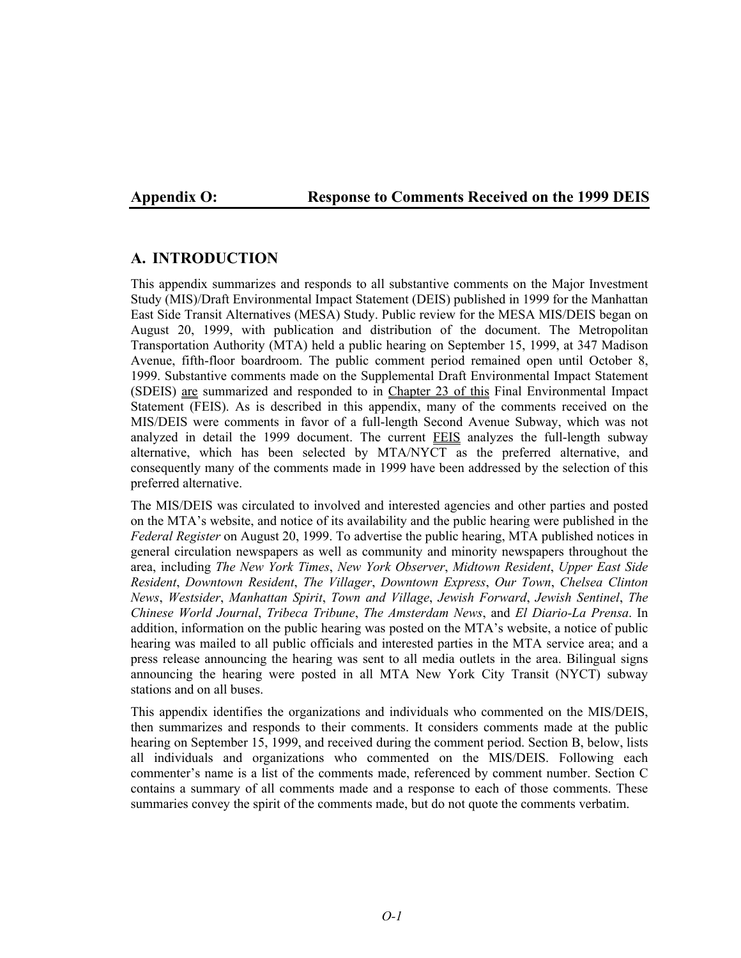# **Appendix O: Response to Comments Received on the 1999 DEIS**

# **A. INTRODUCTION**

This appendix summarizes and responds to all substantive comments on the Major Investment Study (MIS)/Draft Environmental Impact Statement (DEIS) published in 1999 for the Manhattan East Side Transit Alternatives (MESA) Study. Public review for the MESA MIS/DEIS began on August 20, 1999, with publication and distribution of the document. The Metropolitan Transportation Authority (MTA) held a public hearing on September 15, 1999, at 347 Madison Avenue, fifth-floor boardroom. The public comment period remained open until October 8, 1999. Substantive comments made on the Supplemental Draft Environmental Impact Statement (SDEIS) are summarized and responded to in Chapter 23 of this Final Environmental Impact Statement (FEIS). As is described in this appendix, many of the comments received on the MIS/DEIS were comments in favor of a full-length Second Avenue Subway, which was not analyzed in detail the 1999 document. The current FEIS analyzes the full-length subway alternative, which has been selected by MTA/NYCT as the preferred alternative, and consequently many of the comments made in 1999 have been addressed by the selection of this preferred alternative.

The MIS/DEIS was circulated to involved and interested agencies and other parties and posted on the MTA's website, and notice of its availability and the public hearing were published in the *Federal Register* on August 20, 1999. To advertise the public hearing, MTA published notices in general circulation newspapers as well as community and minority newspapers throughout the area, including *The New York Times*, *New York Observer*, *Midtown Resident*, *Upper East Side Resident*, *Downtown Resident*, *The Villager*, *Downtown Express*, *Our Town*, *Chelsea Clinton News*, *Westsider*, *Manhattan Spirit*, *Town and Village*, *Jewish Forward*, *Jewish Sentinel*, *The Chinese World Journal*, *Tribeca Tribune*, *The Amsterdam News*, and *El Diario-La Prensa*. In addition, information on the public hearing was posted on the MTA's website, a notice of public hearing was mailed to all public officials and interested parties in the MTA service area; and a press release announcing the hearing was sent to all media outlets in the area. Bilingual signs announcing the hearing were posted in all MTA New York City Transit (NYCT) subway stations and on all buses.

This appendix identifies the organizations and individuals who commented on the MIS/DEIS, then summarizes and responds to their comments. It considers comments made at the public hearing on September 15, 1999, and received during the comment period. Section B, below, lists all individuals and organizations who commented on the MIS/DEIS. Following each commenter's name is a list of the comments made, referenced by comment number. Section C contains a summary of all comments made and a response to each of those comments. These summaries convey the spirit of the comments made, but do not quote the comments verbatim.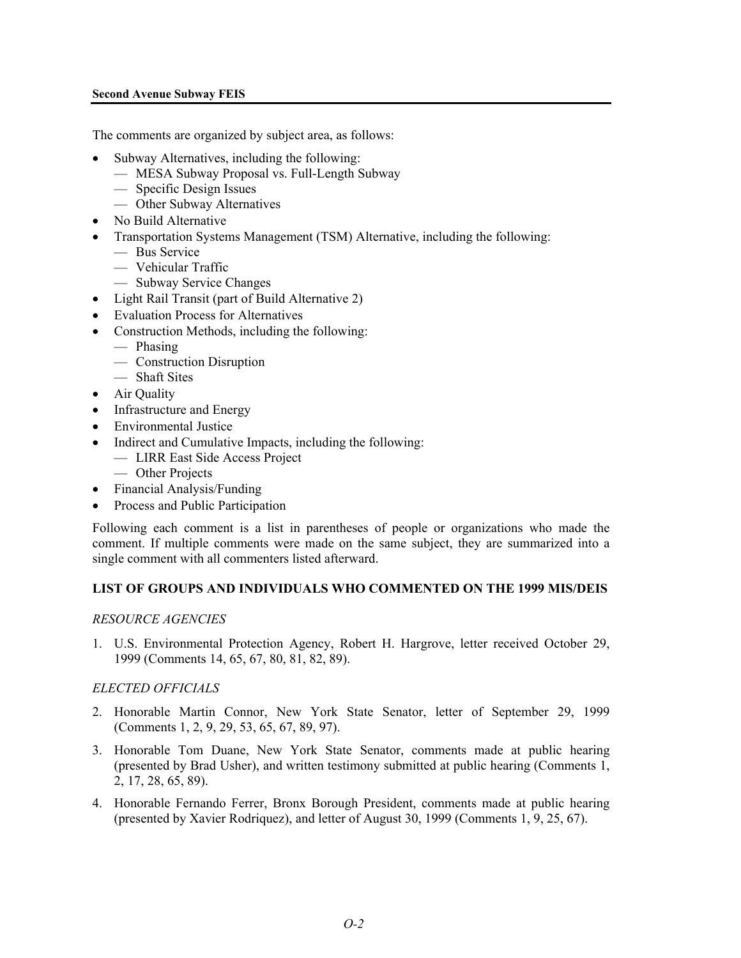## **Second Avenue Subway FEIS**

The comments are organized by subject area, as follows:

- Subway Alternatives, including the following:
	- MESA Subway Proposal vs. Full-Length Subway
	- Specific Design Issues
	- Other Subway Alternatives
- No Build Alternative
- Transportation Systems Management (TSM) Alternative, including the following:
	- Bus Service
	- Vehicular Traffic
	- Subway Service Changes
- Light Rail Transit (part of Build Alternative 2)
- Evaluation Process for Alternatives
- Construction Methods, including the following:
	- Phasing
	- Construction Disruption
	- Shaft Sites
- Air Quality
- Infrastructure and Energy
- Environmental Justice
- Indirect and Cumulative Impacts, including the following:
	- LIRR East Side Access Project
	- Other Projects
- Financial Analysis/Funding
- Process and Public Participation

Following each comment is a list in parentheses of people or organizations who made the comment. If multiple comments were made on the same subject, they are summarized into a single comment with all commenters listed afterward.

# **LIST OF GROUPS AND INDIVIDUALS WHO COMMENTED ON THE 1999 MIS/DEIS**

## *RESOURCE AGENCIES*

1. U.S. Environmental Protection Agency, Robert H. Hargrove, letter received October 29, 1999 (Comments 14, 65, 67, 80, 81, 82, 89).

## *ELECTED OFFICIALS*

- 2. Honorable Martin Connor, New York State Senator, letter of September 29, 1999 (Comments 1, 2, 9, 29, 53, 65, 67, 89, 97).
- 3. Honorable Tom Duane, New York State Senator, comments made at public hearing (presented by Brad Usher), and written testimony submitted at public hearing (Comments 1, 2, 17, 28, 65, 89).
- 4. Honorable Fernando Ferrer, Bronx Borough President, comments made at public hearing (presented by Xavier Rodriquez), and letter of August 30, 1999 (Comments 1, 9, 25, 67).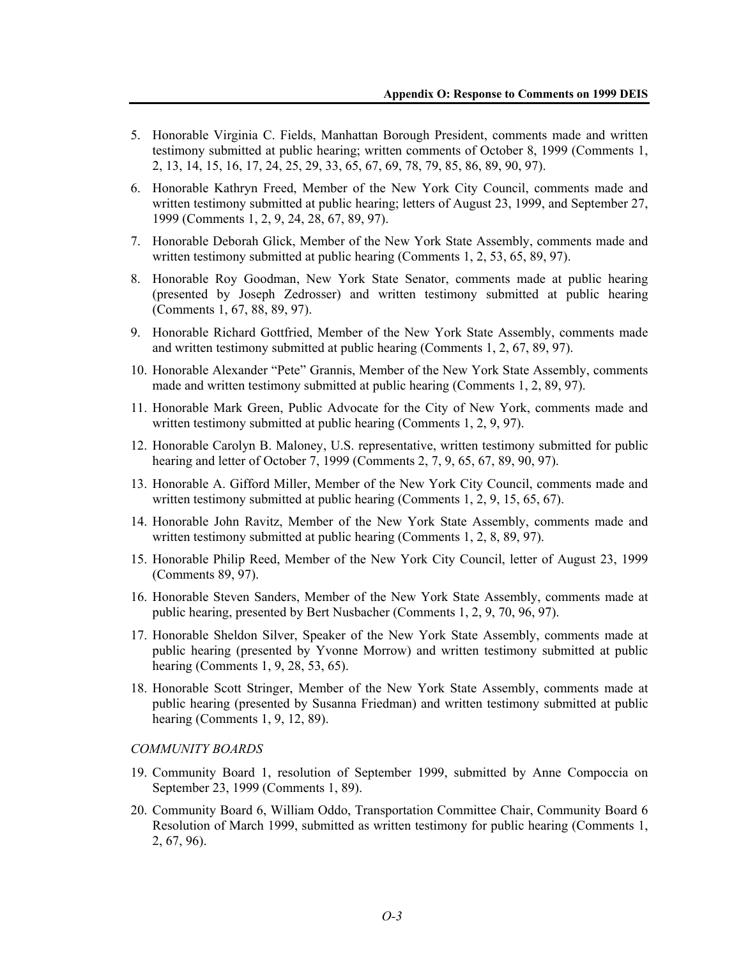- 5. Honorable Virginia C. Fields, Manhattan Borough President, comments made and written testimony submitted at public hearing; written comments of October 8, 1999 (Comments 1, 2, 13, 14, 15, 16, 17, 24, 25, 29, 33, 65, 67, 69, 78, 79, 85, 86, 89, 90, 97).
- 6. Honorable Kathryn Freed, Member of the New York City Council, comments made and written testimony submitted at public hearing; letters of August 23, 1999, and September 27, 1999 (Comments 1, 2, 9, 24, 28, 67, 89, 97).
- 7. Honorable Deborah Glick, Member of the New York State Assembly, comments made and written testimony submitted at public hearing (Comments 1, 2, 53, 65, 89, 97).
- 8. Honorable Roy Goodman, New York State Senator, comments made at public hearing (presented by Joseph Zedrosser) and written testimony submitted at public hearing (Comments 1, 67, 88, 89, 97).
- 9. Honorable Richard Gottfried, Member of the New York State Assembly, comments made and written testimony submitted at public hearing (Comments 1, 2, 67, 89, 97).
- 10. Honorable Alexander "Pete" Grannis, Member of the New York State Assembly, comments made and written testimony submitted at public hearing (Comments 1, 2, 89, 97).
- 11. Honorable Mark Green, Public Advocate for the City of New York, comments made and written testimony submitted at public hearing (Comments 1, 2, 9, 97).
- 12. Honorable Carolyn B. Maloney, U.S. representative, written testimony submitted for public hearing and letter of October 7, 1999 (Comments 2, 7, 9, 65, 67, 89, 90, 97).
- 13. Honorable A. Gifford Miller, Member of the New York City Council, comments made and written testimony submitted at public hearing (Comments 1, 2, 9, 15, 65, 67).
- 14. Honorable John Ravitz, Member of the New York State Assembly, comments made and written testimony submitted at public hearing (Comments 1, 2, 8, 89, 97).
- 15. Honorable Philip Reed, Member of the New York City Council, letter of August 23, 1999 (Comments 89, 97).
- 16. Honorable Steven Sanders, Member of the New York State Assembly, comments made at public hearing, presented by Bert Nusbacher (Comments 1, 2, 9, 70, 96, 97).
- 17. Honorable Sheldon Silver, Speaker of the New York State Assembly, comments made at public hearing (presented by Yvonne Morrow) and written testimony submitted at public hearing (Comments 1, 9, 28, 53, 65).
- 18. Honorable Scott Stringer, Member of the New York State Assembly, comments made at public hearing (presented by Susanna Friedman) and written testimony submitted at public hearing (Comments 1, 9, 12, 89).

#### *COMMUNITY BOARDS*

- 19. Community Board 1, resolution of September 1999, submitted by Anne Compoccia on September 23, 1999 (Comments 1, 89).
- 20. Community Board 6, William Oddo, Transportation Committee Chair, Community Board 6 Resolution of March 1999, submitted as written testimony for public hearing (Comments 1, 2, 67, 96).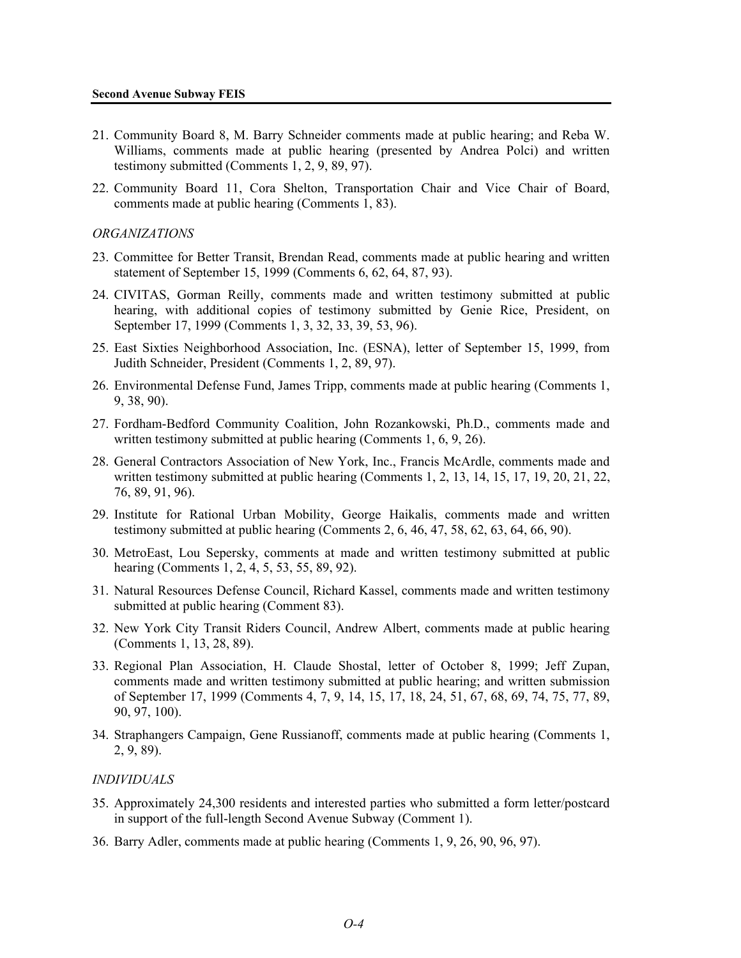- 21. Community Board 8, M. Barry Schneider comments made at public hearing; and Reba W. Williams, comments made at public hearing (presented by Andrea Polci) and written testimony submitted (Comments 1, 2, 9, 89, 97).
- 22. Community Board 11, Cora Shelton, Transportation Chair and Vice Chair of Board, comments made at public hearing (Comments 1, 83).

#### *ORGANIZATIONS*

- 23. Committee for Better Transit, Brendan Read, comments made at public hearing and written statement of September 15, 1999 (Comments 6, 62, 64, 87, 93).
- 24. CIVITAS, Gorman Reilly, comments made and written testimony submitted at public hearing, with additional copies of testimony submitted by Genie Rice, President, on September 17, 1999 (Comments 1, 3, 32, 33, 39, 53, 96).
- 25. East Sixties Neighborhood Association, Inc. (ESNA), letter of September 15, 1999, from Judith Schneider, President (Comments 1, 2, 89, 97).
- 26. Environmental Defense Fund, James Tripp, comments made at public hearing (Comments 1, 9, 38, 90).
- 27. Fordham-Bedford Community Coalition, John Rozankowski, Ph.D., comments made and written testimony submitted at public hearing (Comments 1, 6, 9, 26).
- 28. General Contractors Association of New York, Inc., Francis McArdle, comments made and written testimony submitted at public hearing (Comments 1, 2, 13, 14, 15, 17, 19, 20, 21, 22, 76, 89, 91, 96).
- 29. Institute for Rational Urban Mobility, George Haikalis, comments made and written testimony submitted at public hearing (Comments 2, 6, 46, 47, 58, 62, 63, 64, 66, 90).
- 30. MetroEast, Lou Sepersky, comments at made and written testimony submitted at public hearing (Comments 1, 2, 4, 5, 53, 55, 89, 92).
- 31. Natural Resources Defense Council, Richard Kassel, comments made and written testimony submitted at public hearing (Comment 83).
- 32. New York City Transit Riders Council, Andrew Albert, comments made at public hearing (Comments 1, 13, 28, 89).
- 33. Regional Plan Association, H. Claude Shostal, letter of October 8, 1999; Jeff Zupan, comments made and written testimony submitted at public hearing; and written submission of September 17, 1999 (Comments 4, 7, 9, 14, 15, 17, 18, 24, 51, 67, 68, 69, 74, 75, 77, 89, 90, 97, 100).
- 34. Straphangers Campaign, Gene Russianoff, comments made at public hearing (Comments 1, 2, 9, 89).

#### *INDIVIDUALS*

- 35. Approximately 24,300 residents and interested parties who submitted a form letter/postcard in support of the full-length Second Avenue Subway (Comment 1).
- 36. Barry Adler, comments made at public hearing (Comments 1, 9, 26, 90, 96, 97).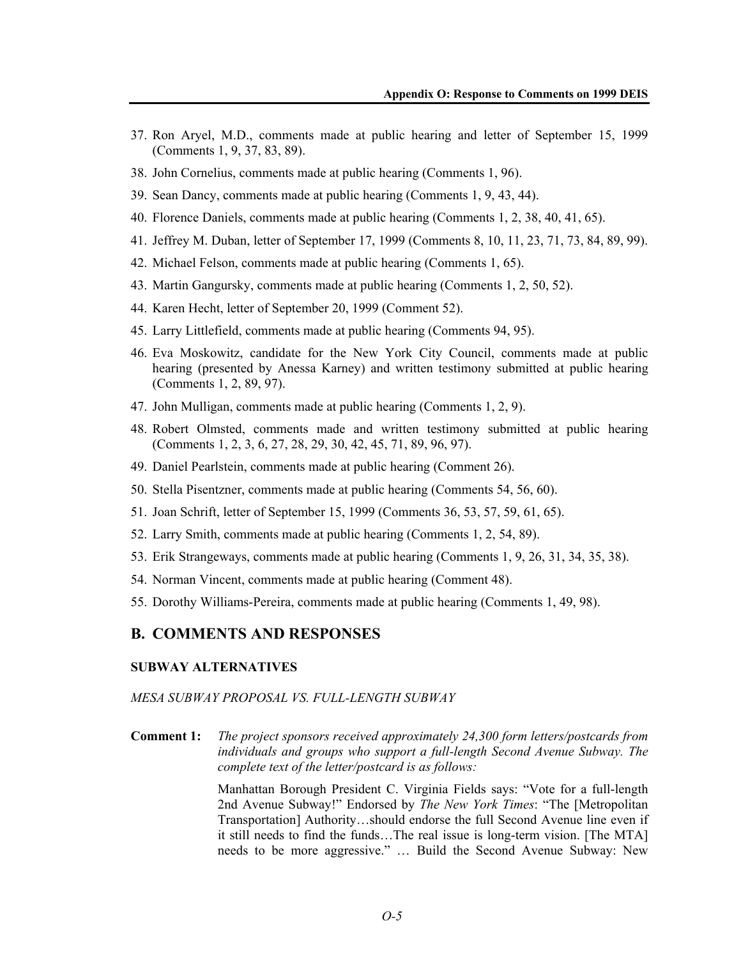- 37. Ron Aryel, M.D., comments made at public hearing and letter of September 15, 1999 (Comments 1, 9, 37, 83, 89).
- 38. John Cornelius, comments made at public hearing (Comments 1, 96).
- 39. Sean Dancy, comments made at public hearing (Comments 1, 9, 43, 44).
- 40. Florence Daniels, comments made at public hearing (Comments 1, 2, 38, 40, 41, 65).
- 41. Jeffrey M. Duban, letter of September 17, 1999 (Comments 8, 10, 11, 23, 71, 73, 84, 89, 99).
- 42. Michael Felson, comments made at public hearing (Comments 1, 65).
- 43. Martin Gangursky, comments made at public hearing (Comments 1, 2, 50, 52).
- 44. Karen Hecht, letter of September 20, 1999 (Comment 52).
- 45. Larry Littlefield, comments made at public hearing (Comments 94, 95).
- 46. Eva Moskowitz, candidate for the New York City Council, comments made at public hearing (presented by Anessa Karney) and written testimony submitted at public hearing (Comments 1, 2, 89, 97).
- 47. John Mulligan, comments made at public hearing (Comments 1, 2, 9).
- 48. Robert Olmsted, comments made and written testimony submitted at public hearing (Comments 1, 2, 3, 6, 27, 28, 29, 30, 42, 45, 71, 89, 96, 97).
- 49. Daniel Pearlstein, comments made at public hearing (Comment 26).
- 50. Stella Pisentzner, comments made at public hearing (Comments 54, 56, 60).
- 51. Joan Schrift, letter of September 15, 1999 (Comments 36, 53, 57, 59, 61, 65).
- 52. Larry Smith, comments made at public hearing (Comments 1, 2, 54, 89).
- 53. Erik Strangeways, comments made at public hearing (Comments 1, 9, 26, 31, 34, 35, 38).
- 54. Norman Vincent, comments made at public hearing (Comment 48).
- 55. Dorothy Williams-Pereira, comments made at public hearing (Comments 1, 49, 98).

# **B. COMMENTS AND RESPONSES**

## **SUBWAY ALTERNATIVES**

#### *MESA SUBWAY PROPOSAL VS. FULL-LENGTH SUBWAY*

**Comment 1:** *The project sponsors received approximately 24,300 form letters/postcards from individuals and groups who support a full-length Second Avenue Subway. The complete text of the letter/postcard is as follows:* 

> Manhattan Borough President C. Virginia Fields says: "Vote for a full-length 2nd Avenue Subway!" Endorsed by *The New York Times*: "The [Metropolitan Transportation] Authority…should endorse the full Second Avenue line even if it still needs to find the funds…The real issue is long-term vision. [The MTA] needs to be more aggressive." … Build the Second Avenue Subway: New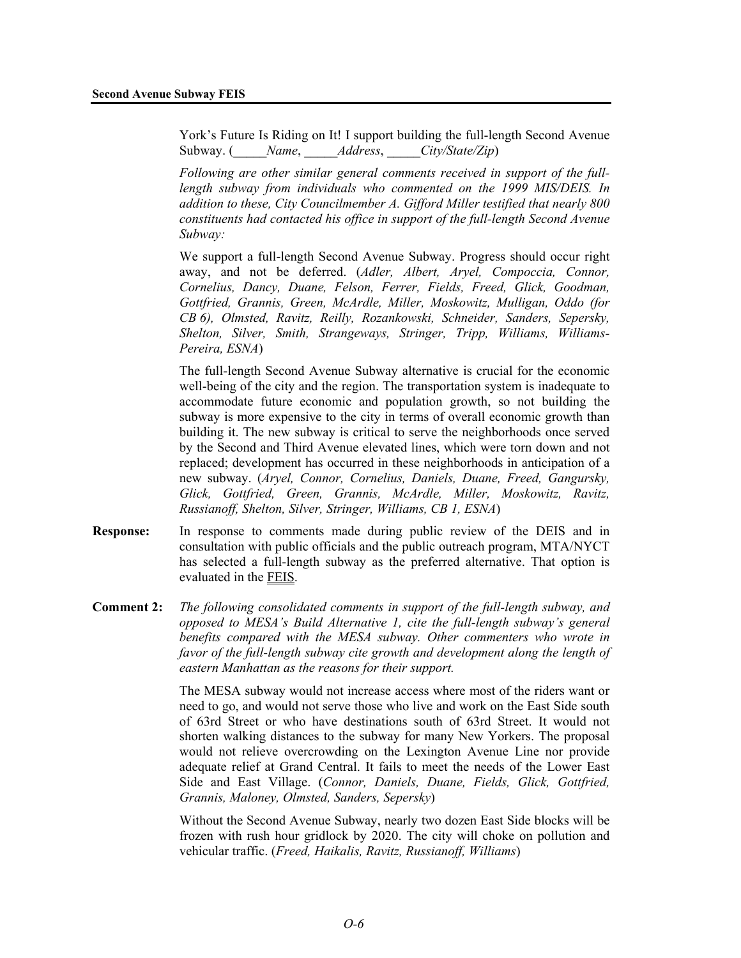York's Future Is Riding on It! I support building the full-length Second Avenue Subway. (\_\_\_\_\_*Name*, \_\_\_\_\_*Address*, \_\_\_\_\_*City/State/Zip*)

*Following are other similar general comments received in support of the fulllength subway from individuals who commented on the 1999 MIS/DEIS. In addition to these, City Councilmember A. Gifford Miller testified that nearly 800 constituents had contacted his office in support of the full-length Second Avenue Subway:* 

We support a full-length Second Avenue Subway. Progress should occur right away, and not be deferred. (*Adler, Albert, Aryel, Compoccia, Connor, Cornelius, Dancy, Duane, Felson, Ferrer, Fields, Freed, Glick, Goodman, Gottfried, Grannis, Green, McArdle, Miller, Moskowitz, Mulligan, Oddo (for CB 6), Olmsted, Ravitz, Reilly, Rozankowski, Schneider, Sanders, Sepersky, Shelton, Silver, Smith, Strangeways, Stringer, Tripp, Williams, Williams-Pereira, ESNA*)

The full-length Second Avenue Subway alternative is crucial for the economic well-being of the city and the region. The transportation system is inadequate to accommodate future economic and population growth, so not building the subway is more expensive to the city in terms of overall economic growth than building it. The new subway is critical to serve the neighborhoods once served by the Second and Third Avenue elevated lines, which were torn down and not replaced; development has occurred in these neighborhoods in anticipation of a new subway. (*Aryel, Connor, Cornelius, Daniels, Duane, Freed, Gangursky, Glick, Gottfried, Green, Grannis, McArdle, Miller, Moskowitz, Ravitz, Russianoff, Shelton, Silver, Stringer, Williams, CB 1, ESNA*)

- **Response:** In response to comments made during public review of the DEIS and in consultation with public officials and the public outreach program, MTA/NYCT has selected a full-length subway as the preferred alternative. That option is evaluated in the FEIS.
- **Comment 2:** *The following consolidated comments in support of the full-length subway, and opposed to MESA's Build Alternative 1, cite the full-length subway's general benefits compared with the MESA subway. Other commenters who wrote in favor of the full-length subway cite growth and development along the length of eastern Manhattan as the reasons for their support.*

The MESA subway would not increase access where most of the riders want or need to go, and would not serve those who live and work on the East Side south of 63rd Street or who have destinations south of 63rd Street. It would not shorten walking distances to the subway for many New Yorkers. The proposal would not relieve overcrowding on the Lexington Avenue Line nor provide adequate relief at Grand Central. It fails to meet the needs of the Lower East Side and East Village. (*Connor, Daniels, Duane, Fields, Glick, Gottfried, Grannis, Maloney, Olmsted, Sanders, Sepersky*)

Without the Second Avenue Subway, nearly two dozen East Side blocks will be frozen with rush hour gridlock by 2020. The city will choke on pollution and vehicular traffic. (*Freed, Haikalis, Ravitz, Russianoff, Williams*)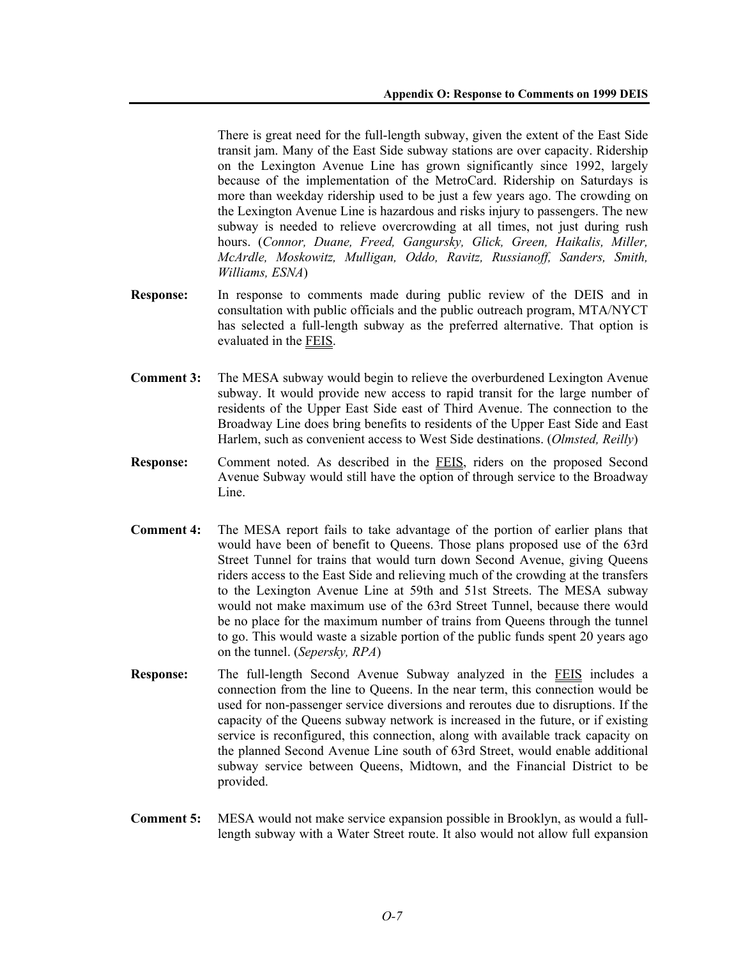There is great need for the full-length subway, given the extent of the East Side transit jam. Many of the East Side subway stations are over capacity. Ridership on the Lexington Avenue Line has grown significantly since 1992, largely because of the implementation of the MetroCard. Ridership on Saturdays is more than weekday ridership used to be just a few years ago. The crowding on the Lexington Avenue Line is hazardous and risks injury to passengers. The new subway is needed to relieve overcrowding at all times, not just during rush hours. (*Connor, Duane, Freed, Gangursky, Glick, Green, Haikalis, Miller, McArdle, Moskowitz, Mulligan, Oddo, Ravitz, Russianoff, Sanders, Smith, Williams, ESNA*)

- **Response:** In response to comments made during public review of the DEIS and in consultation with public officials and the public outreach program, MTA/NYCT has selected a full-length subway as the preferred alternative. That option is evaluated in the FEIS.
- **Comment 3:** The MESA subway would begin to relieve the overburdened Lexington Avenue subway. It would provide new access to rapid transit for the large number of residents of the Upper East Side east of Third Avenue. The connection to the Broadway Line does bring benefits to residents of the Upper East Side and East Harlem, such as convenient access to West Side destinations. (*Olmsted, Reilly*)
- **Response:** Comment noted. As described in the FEIS, riders on the proposed Second Avenue Subway would still have the option of through service to the Broadway Line.
- **Comment 4:** The MESA report fails to take advantage of the portion of earlier plans that would have been of benefit to Queens. Those plans proposed use of the 63rd Street Tunnel for trains that would turn down Second Avenue, giving Queens riders access to the East Side and relieving much of the crowding at the transfers to the Lexington Avenue Line at 59th and 51st Streets. The MESA subway would not make maximum use of the 63rd Street Tunnel, because there would be no place for the maximum number of trains from Queens through the tunnel to go. This would waste a sizable portion of the public funds spent 20 years ago on the tunnel. (*Sepersky, RPA*)
- **Response:** The full-length Second Avenue Subway analyzed in the FEIS includes a connection from the line to Queens. In the near term, this connection would be used for non-passenger service diversions and reroutes due to disruptions. If the capacity of the Queens subway network is increased in the future, or if existing service is reconfigured, this connection, along with available track capacity on the planned Second Avenue Line south of 63rd Street, would enable additional subway service between Queens, Midtown, and the Financial District to be provided.
- **Comment 5:** MESA would not make service expansion possible in Brooklyn, as would a fulllength subway with a Water Street route. It also would not allow full expansion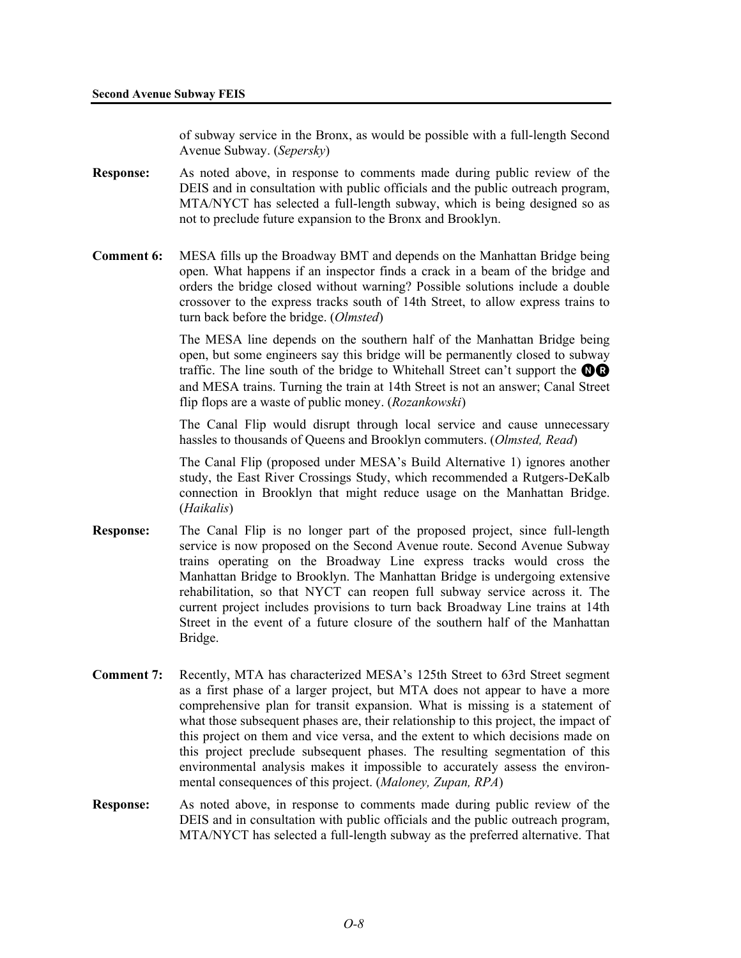of subway service in the Bronx, as would be possible with a full-length Second Avenue Subway. (*Sepersky*)

- **Response:** As noted above, in response to comments made during public review of the DEIS and in consultation with public officials and the public outreach program, MTA/NYCT has selected a full-length subway, which is being designed so as not to preclude future expansion to the Bronx and Brooklyn.
- **Comment 6:** MESA fills up the Broadway BMT and depends on the Manhattan Bridge being open. What happens if an inspector finds a crack in a beam of the bridge and orders the bridge closed without warning? Possible solutions include a double crossover to the express tracks south of 14th Street, to allow express trains to turn back before the bridge. (*Olmsted*)

The MESA line depends on the southern half of the Manhattan Bridge being open, but some engineers say this bridge will be permanently closed to subway traffic. The line south of the bridge to Whitehall Street can't support the  $\mathbf{\odot} \mathbf{\odot}$ and MESA trains. Turning the train at 14th Street is not an answer; Canal Street flip flops are a waste of public money. (*Rozankowski*)

The Canal Flip would disrupt through local service and cause unnecessary hassles to thousands of Queens and Brooklyn commuters. (*Olmsted, Read*)

The Canal Flip (proposed under MESA's Build Alternative 1) ignores another study, the East River Crossings Study, which recommended a Rutgers-DeKalb connection in Brooklyn that might reduce usage on the Manhattan Bridge. (*Haikalis*)

- **Response:** The Canal Flip is no longer part of the proposed project, since full-length service is now proposed on the Second Avenue route. Second Avenue Subway trains operating on the Broadway Line express tracks would cross the Manhattan Bridge to Brooklyn. The Manhattan Bridge is undergoing extensive rehabilitation, so that NYCT can reopen full subway service across it. The current project includes provisions to turn back Broadway Line trains at 14th Street in the event of a future closure of the southern half of the Manhattan Bridge.
- **Comment 7:** Recently, MTA has characterized MESA's 125th Street to 63rd Street segment as a first phase of a larger project, but MTA does not appear to have a more comprehensive plan for transit expansion. What is missing is a statement of what those subsequent phases are, their relationship to this project, the impact of this project on them and vice versa, and the extent to which decisions made on this project preclude subsequent phases. The resulting segmentation of this environmental analysis makes it impossible to accurately assess the environmental consequences of this project. (*Maloney, Zupan, RPA*)
- **Response:** As noted above, in response to comments made during public review of the DEIS and in consultation with public officials and the public outreach program, MTA/NYCT has selected a full-length subway as the preferred alternative. That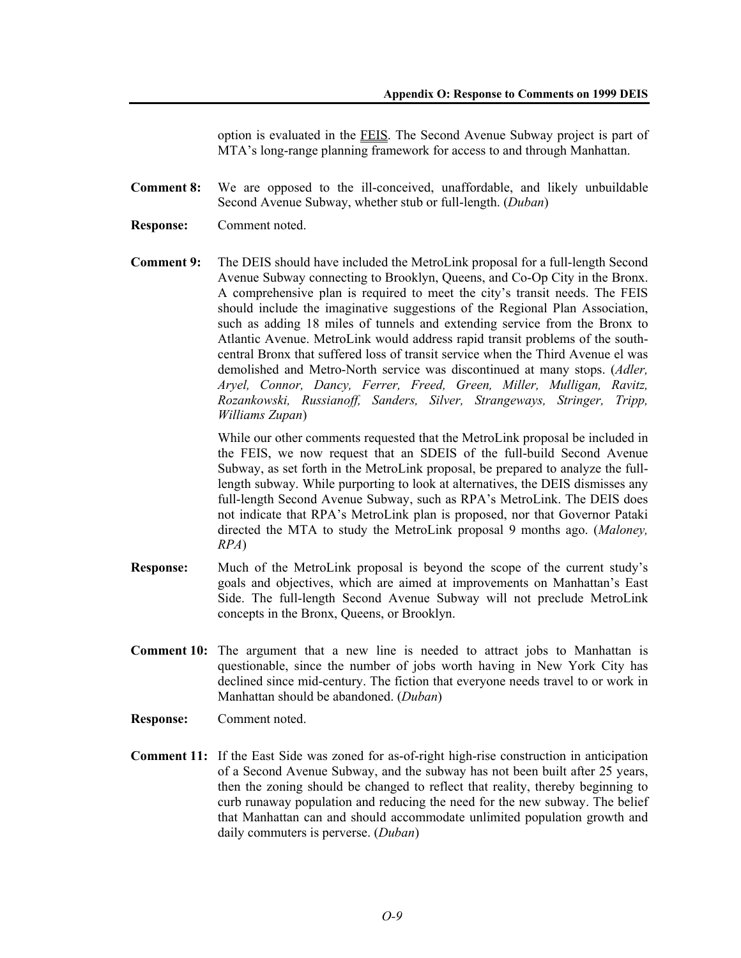option is evaluated in the FEIS. The Second Avenue Subway project is part of MTA's long-range planning framework for access to and through Manhattan.

- **Comment 8:** We are opposed to the ill-conceived, unaffordable, and likely unbuildable Second Avenue Subway, whether stub or full-length. (*Duban*)
- **Response:** Comment noted.
- **Comment 9:** The DEIS should have included the MetroLink proposal for a full-length Second Avenue Subway connecting to Brooklyn, Queens, and Co-Op City in the Bronx. A comprehensive plan is required to meet the city's transit needs. The FEIS should include the imaginative suggestions of the Regional Plan Association, such as adding 18 miles of tunnels and extending service from the Bronx to Atlantic Avenue. MetroLink would address rapid transit problems of the southcentral Bronx that suffered loss of transit service when the Third Avenue el was demolished and Metro-North service was discontinued at many stops. (*Adler, Aryel, Connor, Dancy, Ferrer, Freed, Green, Miller, Mulligan, Ravitz, Rozankowski, Russianoff, Sanders, Silver, Strangeways, Stringer, Tripp, Williams Zupan*)

While our other comments requested that the MetroLink proposal be included in the FEIS, we now request that an SDEIS of the full-build Second Avenue Subway, as set forth in the MetroLink proposal, be prepared to analyze the fulllength subway. While purporting to look at alternatives, the DEIS dismisses any full-length Second Avenue Subway, such as RPA's MetroLink. The DEIS does not indicate that RPA's MetroLink plan is proposed, nor that Governor Pataki directed the MTA to study the MetroLink proposal 9 months ago. (*Maloney, RPA*)

- **Response:** Much of the MetroLink proposal is beyond the scope of the current study's goals and objectives, which are aimed at improvements on Manhattan's East Side. The full-length Second Avenue Subway will not preclude MetroLink concepts in the Bronx, Queens, or Brooklyn.
- **Comment 10:** The argument that a new line is needed to attract jobs to Manhattan is questionable, since the number of jobs worth having in New York City has declined since mid-century. The fiction that everyone needs travel to or work in Manhattan should be abandoned. (*Duban*)
- **Response:** Comment noted.
- **Comment 11:** If the East Side was zoned for as-of-right high-rise construction in anticipation of a Second Avenue Subway, and the subway has not been built after 25 years, then the zoning should be changed to reflect that reality, thereby beginning to curb runaway population and reducing the need for the new subway. The belief that Manhattan can and should accommodate unlimited population growth and daily commuters is perverse. (*Duban*)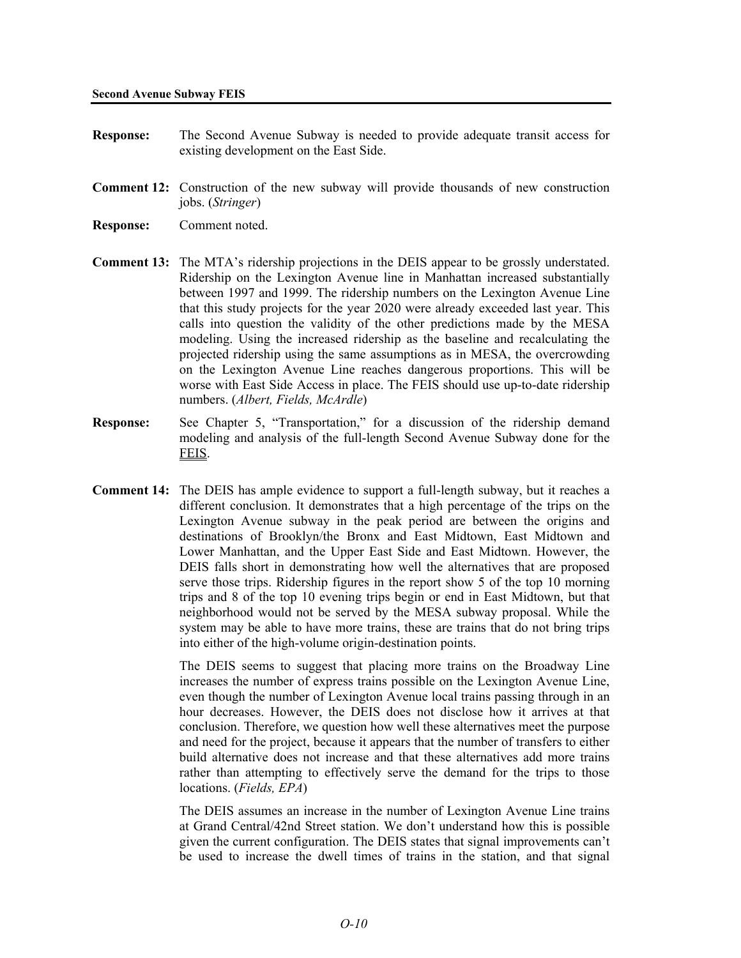- **Response:** The Second Avenue Subway is needed to provide adequate transit access for existing development on the East Side.
- **Comment 12:** Construction of the new subway will provide thousands of new construction jobs. (*Stringer*)
- **Response:** Comment noted.
- **Comment 13:** The MTA's ridership projections in the DEIS appear to be grossly understated. Ridership on the Lexington Avenue line in Manhattan increased substantially between 1997 and 1999. The ridership numbers on the Lexington Avenue Line that this study projects for the year 2020 were already exceeded last year. This calls into question the validity of the other predictions made by the MESA modeling. Using the increased ridership as the baseline and recalculating the projected ridership using the same assumptions as in MESA, the overcrowding on the Lexington Avenue Line reaches dangerous proportions. This will be worse with East Side Access in place. The FEIS should use up-to-date ridership numbers. (*Albert, Fields, McArdle*)
- **Response:** See Chapter 5, "Transportation," for a discussion of the ridership demand modeling and analysis of the full-length Second Avenue Subway done for the FEIS.
- **Comment 14:** The DEIS has ample evidence to support a full-length subway, but it reaches a different conclusion. It demonstrates that a high percentage of the trips on the Lexington Avenue subway in the peak period are between the origins and destinations of Brooklyn/the Bronx and East Midtown, East Midtown and Lower Manhattan, and the Upper East Side and East Midtown. However, the DEIS falls short in demonstrating how well the alternatives that are proposed serve those trips. Ridership figures in the report show 5 of the top 10 morning trips and 8 of the top 10 evening trips begin or end in East Midtown, but that neighborhood would not be served by the MESA subway proposal. While the system may be able to have more trains, these are trains that do not bring trips into either of the high-volume origin-destination points.

The DEIS seems to suggest that placing more trains on the Broadway Line increases the number of express trains possible on the Lexington Avenue Line, even though the number of Lexington Avenue local trains passing through in an hour decreases. However, the DEIS does not disclose how it arrives at that conclusion. Therefore, we question how well these alternatives meet the purpose and need for the project, because it appears that the number of transfers to either build alternative does not increase and that these alternatives add more trains rather than attempting to effectively serve the demand for the trips to those locations. (*Fields, EPA*)

The DEIS assumes an increase in the number of Lexington Avenue Line trains at Grand Central/42nd Street station. We don't understand how this is possible given the current configuration. The DEIS states that signal improvements can't be used to increase the dwell times of trains in the station, and that signal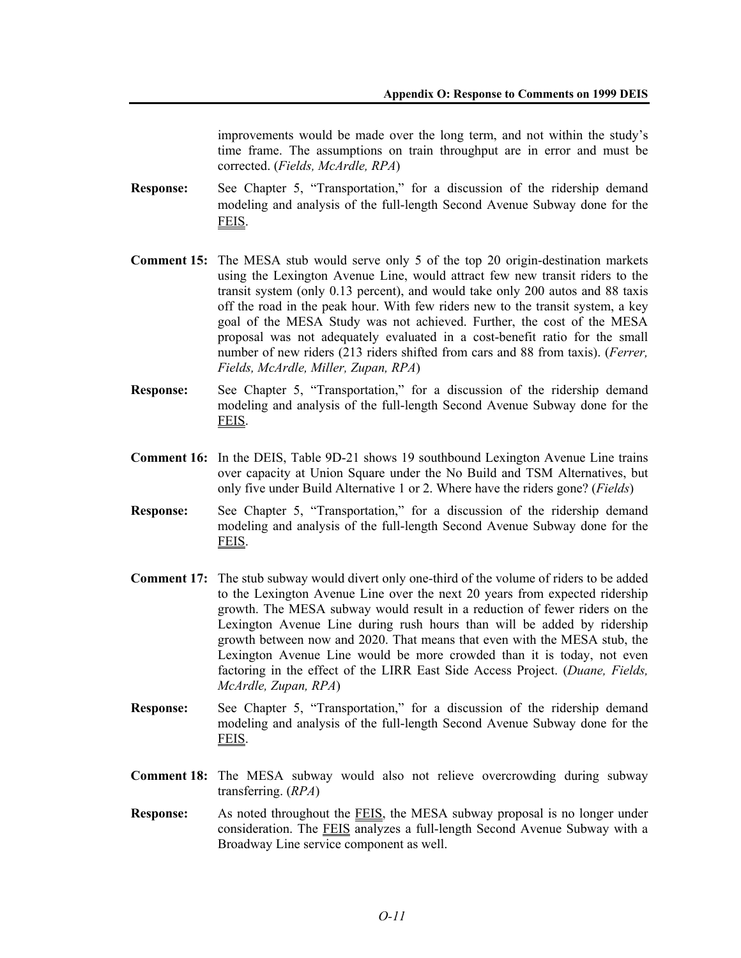improvements would be made over the long term, and not within the study's time frame. The assumptions on train throughput are in error and must be corrected. (*Fields, McArdle, RPA*)

- **Response:** See Chapter 5, "Transportation," for a discussion of the ridership demand modeling and analysis of the full-length Second Avenue Subway done for the FEIS.
- **Comment 15:** The MESA stub would serve only 5 of the top 20 origin-destination markets using the Lexington Avenue Line, would attract few new transit riders to the transit system (only 0.13 percent), and would take only 200 autos and 88 taxis off the road in the peak hour. With few riders new to the transit system, a key goal of the MESA Study was not achieved. Further, the cost of the MESA proposal was not adequately evaluated in a cost-benefit ratio for the small number of new riders (213 riders shifted from cars and 88 from taxis). (*Ferrer, Fields, McArdle, Miller, Zupan, RPA*)
- **Response:** See Chapter 5, "Transportation," for a discussion of the ridership demand modeling and analysis of the full-length Second Avenue Subway done for the FEIS.
- **Comment 16:** In the DEIS, Table 9D-21 shows 19 southbound Lexington Avenue Line trains over capacity at Union Square under the No Build and TSM Alternatives, but only five under Build Alternative 1 or 2. Where have the riders gone? (*Fields*)
- **Response:** See Chapter 5, "Transportation," for a discussion of the ridership demand modeling and analysis of the full-length Second Avenue Subway done for the FEIS.
- **Comment 17:** The stub subway would divert only one-third of the volume of riders to be added to the Lexington Avenue Line over the next 20 years from expected ridership growth. The MESA subway would result in a reduction of fewer riders on the Lexington Avenue Line during rush hours than will be added by ridership growth between now and 2020. That means that even with the MESA stub, the Lexington Avenue Line would be more crowded than it is today, not even factoring in the effect of the LIRR East Side Access Project. (*Duane, Fields, McArdle, Zupan, RPA*)
- **Response:** See Chapter 5, "Transportation," for a discussion of the ridership demand modeling and analysis of the full-length Second Avenue Subway done for the FEIS.
- **Comment 18:** The MESA subway would also not relieve overcrowding during subway transferring. (*RPA*)
- **Response:** As noted throughout the FEIS, the MESA subway proposal is no longer under consideration. The FEIS analyzes a full-length Second Avenue Subway with a Broadway Line service component as well.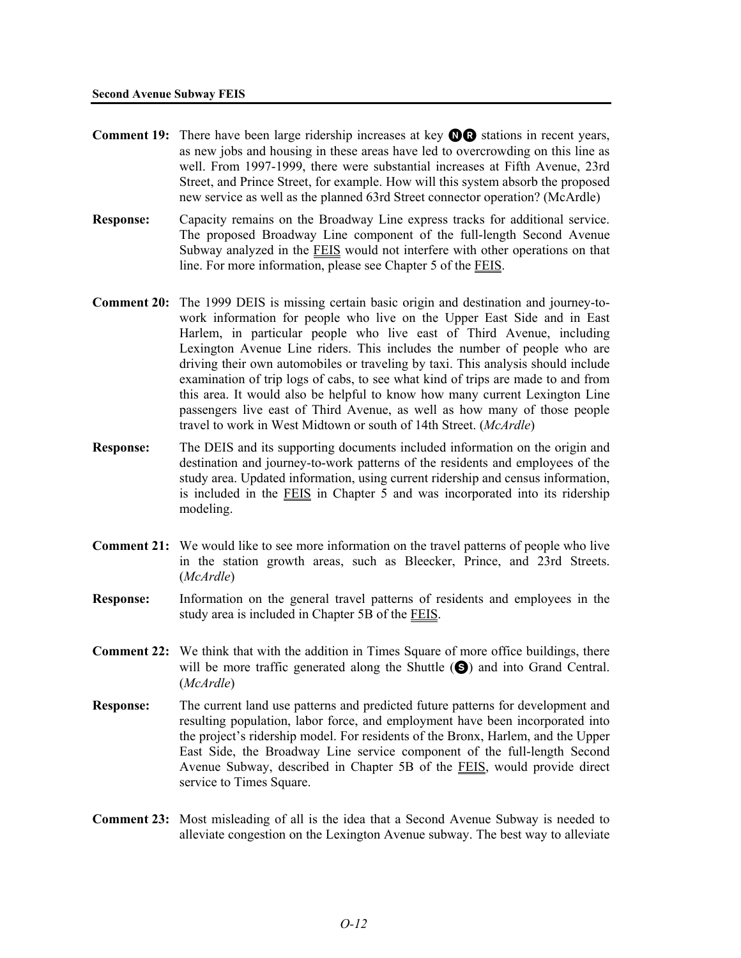- **Comment 19:** There have been large ridership increases at key **OD** stations in recent years, as new jobs and housing in these areas have led to overcrowding on this line as well. From 1997-1999, there were substantial increases at Fifth Avenue, 23rd Street, and Prince Street, for example. How will this system absorb the proposed new service as well as the planned 63rd Street connector operation? (McArdle)
- **Response:** Capacity remains on the Broadway Line express tracks for additional service. The proposed Broadway Line component of the full-length Second Avenue Subway analyzed in the FEIS would not interfere with other operations on that line. For more information, please see Chapter 5 of the **FEIS**.
- **Comment 20:** The 1999 DEIS is missing certain basic origin and destination and journey-towork information for people who live on the Upper East Side and in East Harlem, in particular people who live east of Third Avenue, including Lexington Avenue Line riders. This includes the number of people who are driving their own automobiles or traveling by taxi. This analysis should include examination of trip logs of cabs, to see what kind of trips are made to and from this area. It would also be helpful to know how many current Lexington Line passengers live east of Third Avenue, as well as how many of those people travel to work in West Midtown or south of 14th Street. (*McArdle*)
- **Response:** The DEIS and its supporting documents included information on the origin and destination and journey-to-work patterns of the residents and employees of the study area. Updated information, using current ridership and census information, is included in the FEIS in Chapter 5 and was incorporated into its ridership modeling.
- **Comment 21:** We would like to see more information on the travel patterns of people who live in the station growth areas, such as Bleecker, Prince, and 23rd Streets. (*McArdle*)
- **Response:** Information on the general travel patterns of residents and employees in the study area is included in Chapter 5B of the FEIS.
- **Comment 22:** We think that with the addition in Times Square of more office buildings, there will be more traffic generated along the Shuttle  $(\bigodot)$  and into Grand Central. (*McArdle*)
- **Response:** The current land use patterns and predicted future patterns for development and resulting population, labor force, and employment have been incorporated into the project's ridership model. For residents of the Bronx, Harlem, and the Upper East Side, the Broadway Line service component of the full-length Second Avenue Subway, described in Chapter 5B of the FEIS, would provide direct service to Times Square.
- **Comment 23:** Most misleading of all is the idea that a Second Avenue Subway is needed to alleviate congestion on the Lexington Avenue subway. The best way to alleviate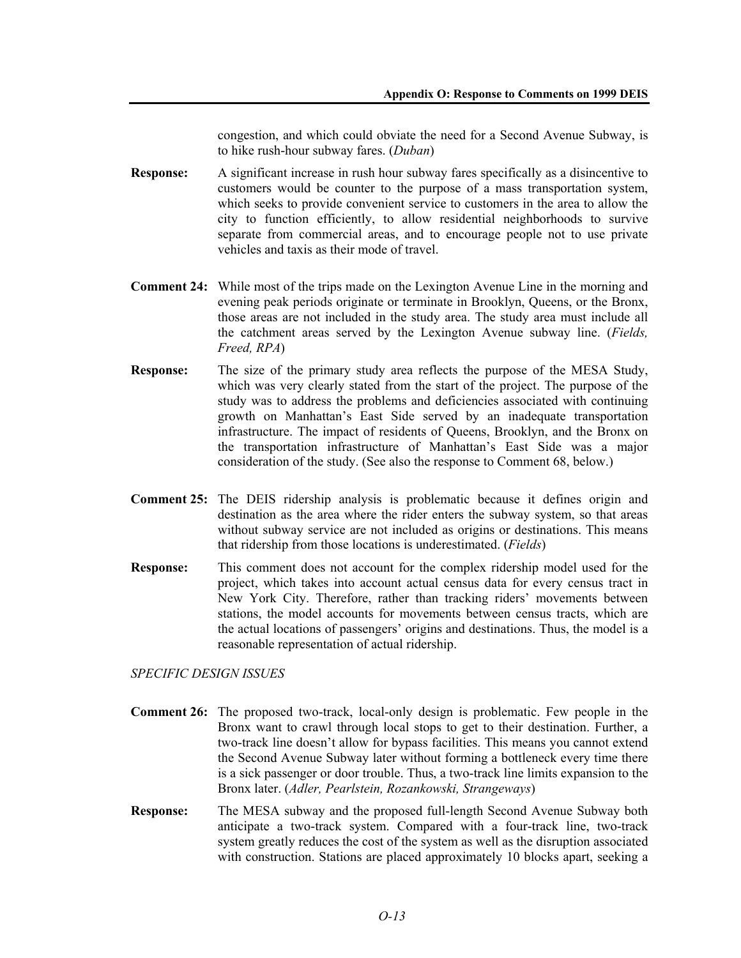congestion, and which could obviate the need for a Second Avenue Subway, is to hike rush-hour subway fares. (*Duban*)

- **Response:** A significant increase in rush hour subway fares specifically as a disincentive to customers would be counter to the purpose of a mass transportation system, which seeks to provide convenient service to customers in the area to allow the city to function efficiently, to allow residential neighborhoods to survive separate from commercial areas, and to encourage people not to use private vehicles and taxis as their mode of travel.
- **Comment 24:** While most of the trips made on the Lexington Avenue Line in the morning and evening peak periods originate or terminate in Brooklyn, Queens, or the Bronx, those areas are not included in the study area. The study area must include all the catchment areas served by the Lexington Avenue subway line. (*Fields, Freed, RPA*)
- **Response:** The size of the primary study area reflects the purpose of the MESA Study, which was very clearly stated from the start of the project. The purpose of the study was to address the problems and deficiencies associated with continuing growth on Manhattan's East Side served by an inadequate transportation infrastructure. The impact of residents of Queens, Brooklyn, and the Bronx on the transportation infrastructure of Manhattan's East Side was a major consideration of the study. (See also the response to Comment 68, below.)
- **Comment 25:** The DEIS ridership analysis is problematic because it defines origin and destination as the area where the rider enters the subway system, so that areas without subway service are not included as origins or destinations. This means that ridership from those locations is underestimated. (*Fields*)
- **Response:** This comment does not account for the complex ridership model used for the project, which takes into account actual census data for every census tract in New York City. Therefore, rather than tracking riders' movements between stations, the model accounts for movements between census tracts, which are the actual locations of passengers' origins and destinations. Thus, the model is a reasonable representation of actual ridership.

*SPECIFIC DESIGN ISSUES* 

- **Comment 26:** The proposed two-track, local-only design is problematic. Few people in the Bronx want to crawl through local stops to get to their destination. Further, a two-track line doesn't allow for bypass facilities. This means you cannot extend the Second Avenue Subway later without forming a bottleneck every time there is a sick passenger or door trouble. Thus, a two-track line limits expansion to the Bronx later. (*Adler, Pearlstein, Rozankowski, Strangeways*)
- **Response:** The MESA subway and the proposed full-length Second Avenue Subway both anticipate a two-track system. Compared with a four-track line, two-track system greatly reduces the cost of the system as well as the disruption associated with construction. Stations are placed approximately 10 blocks apart, seeking a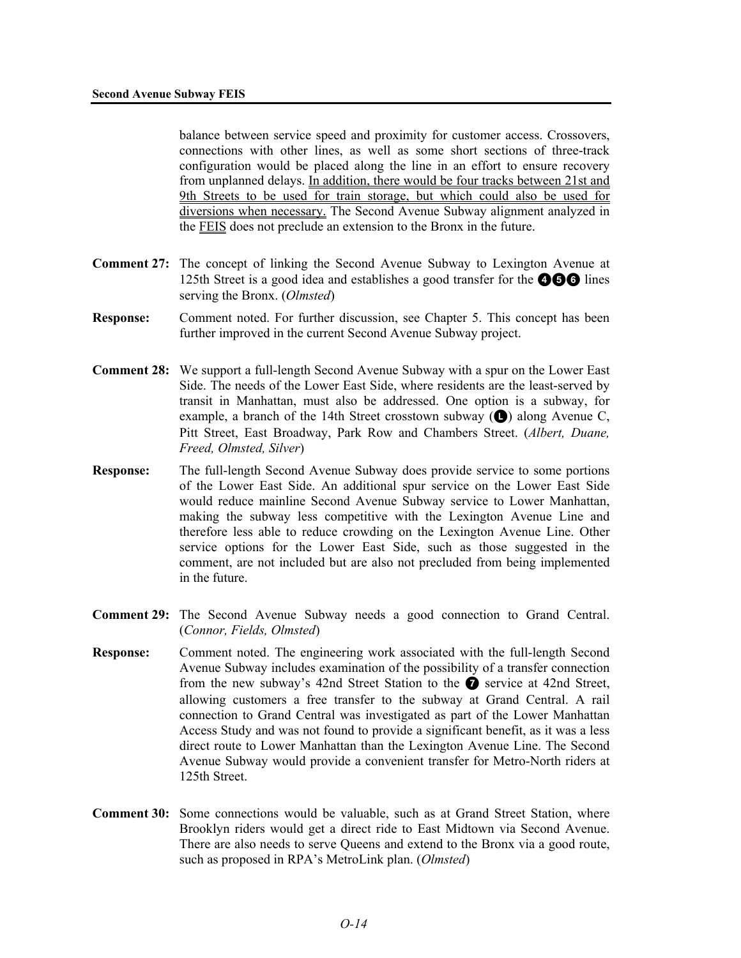balance between service speed and proximity for customer access. Crossovers, connections with other lines, as well as some short sections of three-track configuration would be placed along the line in an effort to ensure recovery from unplanned delays. In addition, there would be four tracks between 21st and 9th Streets to be used for train storage, but which could also be used for diversions when necessary. The Second Avenue Subway alignment analyzed in the FEIS does not preclude an extension to the Bronx in the future.

- **Comment 27:** The concept of linking the Second Avenue Subway to Lexington Avenue at 125th Street is a good idea and establishes a good transfer for the  $\bigcirc$   $\bigcirc$  lines serving the Bronx. (*Olmsted*)
- **Response:** Comment noted. For further discussion, see Chapter 5. This concept has been further improved in the current Second Avenue Subway project.
- **Comment 28:** We support a full-length Second Avenue Subway with a spur on the Lower East Side. The needs of the Lower East Side, where residents are the least-served by transit in Manhattan, must also be addressed. One option is a subway, for example, a branch of the 14th Street crosstown subway  $\left(\bigodot\right)$  along Avenue C, Pitt Street, East Broadway, Park Row and Chambers Street. (*Albert, Duane, Freed, Olmsted, Silver*)
- **Response:** The full-length Second Avenue Subway does provide service to some portions of the Lower East Side. An additional spur service on the Lower East Side would reduce mainline Second Avenue Subway service to Lower Manhattan, making the subway less competitive with the Lexington Avenue Line and therefore less able to reduce crowding on the Lexington Avenue Line. Other service options for the Lower East Side, such as those suggested in the comment, are not included but are also not precluded from being implemented in the future.
- **Comment 29:** The Second Avenue Subway needs a good connection to Grand Central. (*Connor, Fields, Olmsted*)
- **Response:** Comment noted. The engineering work associated with the full-length Second Avenue Subway includes examination of the possibility of a transfer connection from the new subway's 42nd Street Station to the  $\bullet$  service at 42nd Street, allowing customers a free transfer to the subway at Grand Central. A rail connection to Grand Central was investigated as part of the Lower Manhattan Access Study and was not found to provide a significant benefit, as it was a less direct route to Lower Manhattan than the Lexington Avenue Line. The Second Avenue Subway would provide a convenient transfer for Metro-North riders at 125th Street.
- **Comment 30:** Some connections would be valuable, such as at Grand Street Station, where Brooklyn riders would get a direct ride to East Midtown via Second Avenue. There are also needs to serve Queens and extend to the Bronx via a good route, such as proposed in RPA's MetroLink plan. (*Olmsted*)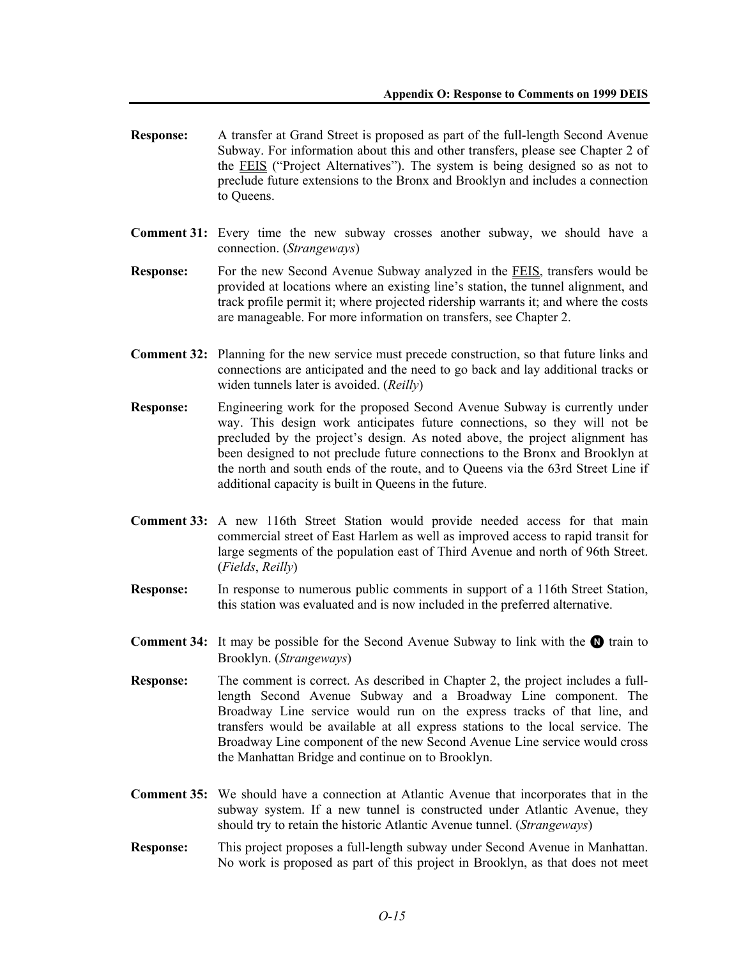- **Response:** A transfer at Grand Street is proposed as part of the full-length Second Avenue Subway. For information about this and other transfers, please see Chapter 2 of the FEIS ("Project Alternatives"). The system is being designed so as not to preclude future extensions to the Bronx and Brooklyn and includes a connection to Queens.
- **Comment 31:** Every time the new subway crosses another subway, we should have a connection. (*Strangeways*)
- **Response:** For the new Second Avenue Subway analyzed in the FEIS, transfers would be provided at locations where an existing line's station, the tunnel alignment, and track profile permit it; where projected ridership warrants it; and where the costs are manageable. For more information on transfers, see Chapter 2.
- **Comment 32:** Planning for the new service must precede construction, so that future links and connections are anticipated and the need to go back and lay additional tracks or widen tunnels later is avoided. (*Reilly*)
- **Response:** Engineering work for the proposed Second Avenue Subway is currently under way. This design work anticipates future connections, so they will not be precluded by the project's design. As noted above, the project alignment has been designed to not preclude future connections to the Bronx and Brooklyn at the north and south ends of the route, and to Queens via the 63rd Street Line if additional capacity is built in Queens in the future.
- **Comment 33:** A new 116th Street Station would provide needed access for that main commercial street of East Harlem as well as improved access to rapid transit for large segments of the population east of Third Avenue and north of 96th Street. (*Fields*, *Reilly*)
- **Response:** In response to numerous public comments in support of a 116th Street Station, this station was evaluated and is now included in the preferred alternative.
- **Comment 34:** It may be possible for the Second Avenue Subway to link with the **O** train to Brooklyn. (*Strangeways*)
- **Response:** The comment is correct. As described in Chapter 2, the project includes a fulllength Second Avenue Subway and a Broadway Line component. The Broadway Line service would run on the express tracks of that line, and transfers would be available at all express stations to the local service. The Broadway Line component of the new Second Avenue Line service would cross the Manhattan Bridge and continue on to Brooklyn.
- **Comment 35:** We should have a connection at Atlantic Avenue that incorporates that in the subway system. If a new tunnel is constructed under Atlantic Avenue, they should try to retain the historic Atlantic Avenue tunnel. (*Strangeways*)
- **Response:** This project proposes a full-length subway under Second Avenue in Manhattan. No work is proposed as part of this project in Brooklyn, as that does not meet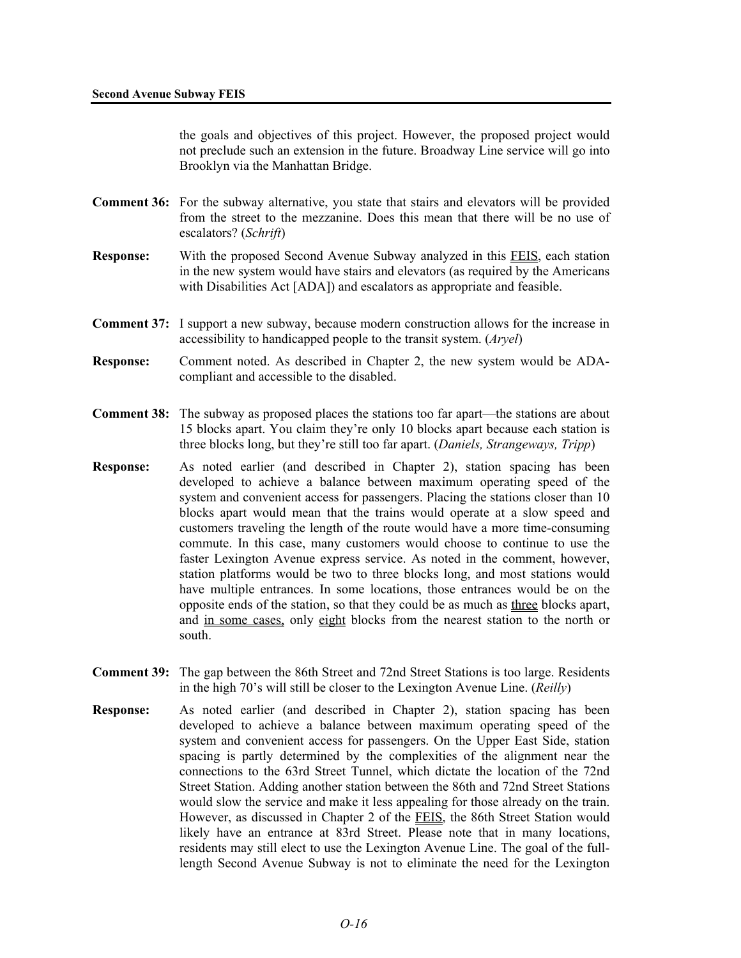the goals and objectives of this project. However, the proposed project would not preclude such an extension in the future. Broadway Line service will go into Brooklyn via the Manhattan Bridge.

- **Comment 36:** For the subway alternative, you state that stairs and elevators will be provided from the street to the mezzanine. Does this mean that there will be no use of escalators? (*Schrift*)
- **Response:** With the proposed Second Avenue Subway analyzed in this FEIS, each station in the new system would have stairs and elevators (as required by the Americans with Disabilities Act [ADA]) and escalators as appropriate and feasible.
- **Comment 37:** I support a new subway, because modern construction allows for the increase in accessibility to handicapped people to the transit system. (*Aryel*)
- **Response:** Comment noted. As described in Chapter 2, the new system would be ADAcompliant and accessible to the disabled.
- **Comment 38:** The subway as proposed places the stations too far apart—the stations are about 15 blocks apart. You claim they're only 10 blocks apart because each station is three blocks long, but they're still too far apart. (*Daniels, Strangeways, Tripp*)
- **Response:** As noted earlier (and described in Chapter 2), station spacing has been developed to achieve a balance between maximum operating speed of the system and convenient access for passengers. Placing the stations closer than 10 blocks apart would mean that the trains would operate at a slow speed and customers traveling the length of the route would have a more time-consuming commute. In this case, many customers would choose to continue to use the faster Lexington Avenue express service. As noted in the comment, however, station platforms would be two to three blocks long, and most stations would have multiple entrances. In some locations, those entrances would be on the opposite ends of the station, so that they could be as much as three blocks apart, and in some cases, only eight blocks from the nearest station to the north or south.
- **Comment 39:** The gap between the 86th Street and 72nd Street Stations is too large. Residents in the high 70's will still be closer to the Lexington Avenue Line. (*Reilly*)
- **Response:** As noted earlier (and described in Chapter 2), station spacing has been developed to achieve a balance between maximum operating speed of the system and convenient access for passengers. On the Upper East Side, station spacing is partly determined by the complexities of the alignment near the connections to the 63rd Street Tunnel, which dictate the location of the 72nd Street Station. Adding another station between the 86th and 72nd Street Stations would slow the service and make it less appealing for those already on the train. However, as discussed in Chapter 2 of the **FEIS**, the 86th Street Station would likely have an entrance at 83rd Street. Please note that in many locations, residents may still elect to use the Lexington Avenue Line. The goal of the fulllength Second Avenue Subway is not to eliminate the need for the Lexington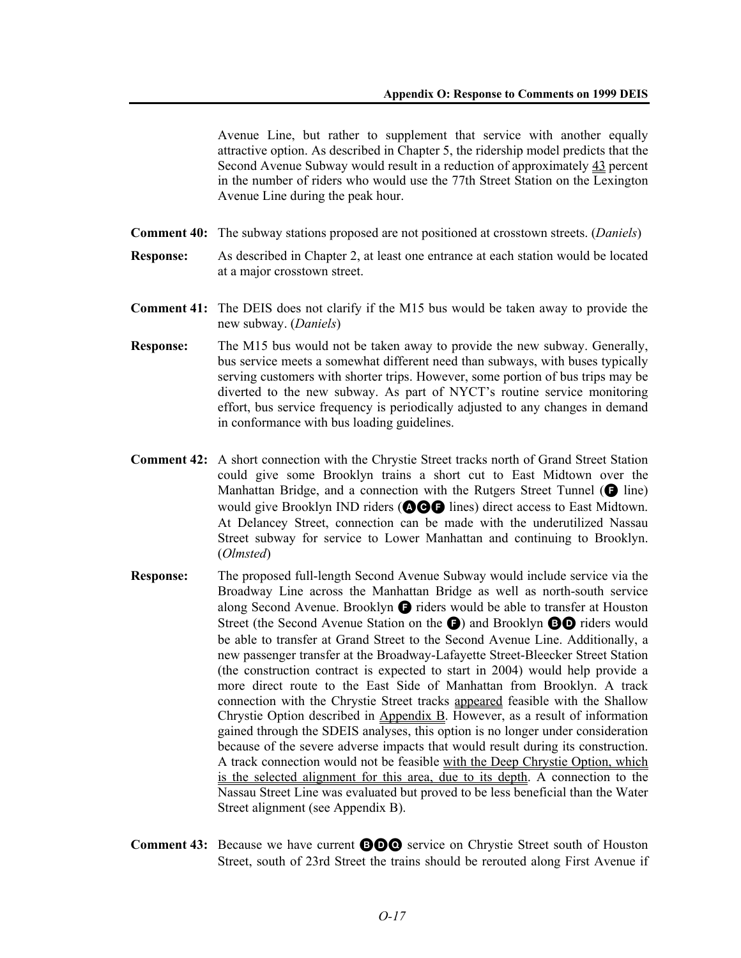Avenue Line, but rather to supplement that service with another equally attractive option. As described in Chapter 5, the ridership model predicts that the Second Avenue Subway would result in a reduction of approximately 43 percent in the number of riders who would use the 77th Street Station on the Lexington Avenue Line during the peak hour.

- **Comment 40:** The subway stations proposed are not positioned at crosstown streets. (*Daniels*)
- **Response:** As described in Chapter 2, at least one entrance at each station would be located at a major crosstown street.
- **Comment 41:** The DEIS does not clarify if the M15 bus would be taken away to provide the new subway. (*Daniels*)
- **Response:** The M15 bus would not be taken away to provide the new subway. Generally, bus service meets a somewhat different need than subways, with buses typically serving customers with shorter trips. However, some portion of bus trips may be diverted to the new subway. As part of NYCT's routine service monitoring effort, bus service frequency is periodically adjusted to any changes in demand in conformance with bus loading guidelines.
- **Comment 42:** A short connection with the Chrystie Street tracks north of Grand Street Station could give some Brooklyn trains a short cut to East Midtown over the Manhattan Bridge, and a connection with the Rutgers Street Tunnel  $(\bigodot$  line) would give Brooklyn IND riders (**QGG** lines) direct access to East Midtown. At Delancey Street, connection can be made with the underutilized Nassau Street subway for service to Lower Manhattan and continuing to Brooklyn. (*Olmsted*)
- **Response:** The proposed full-length Second Avenue Subway would include service via the Broadway Line across the Manhattan Bridge as well as north-south service along Second Avenue. Brooklyn  $\bigcirc$  riders would be able to transfer at Houston Street (the Second Avenue Station on the **G**) and Brooklyn **BO** riders would be able to transfer at Grand Street to the Second Avenue Line. Additionally, a new passenger transfer at the Broadway-Lafayette Street-Bleecker Street Station (the construction contract is expected to start in 2004) would help provide a more direct route to the East Side of Manhattan from Brooklyn. A track connection with the Chrystie Street tracks appeared feasible with the Shallow Chrystie Option described in Appendix B. However, as a result of information gained through the SDEIS analyses, this option is no longer under consideration because of the severe adverse impacts that would result during its construction. A track connection would not be feasible with the Deep Chrystie Option, which is the selected alignment for this area, due to its depth. A connection to the Nassau Street Line was evaluated but proved to be less beneficial than the Water Street alignment (see Appendix B).
- **Comment 43:** Because we have current **BOO** service on Chrystie Street south of Houston Street, south of 23rd Street the trains should be rerouted along First Avenue if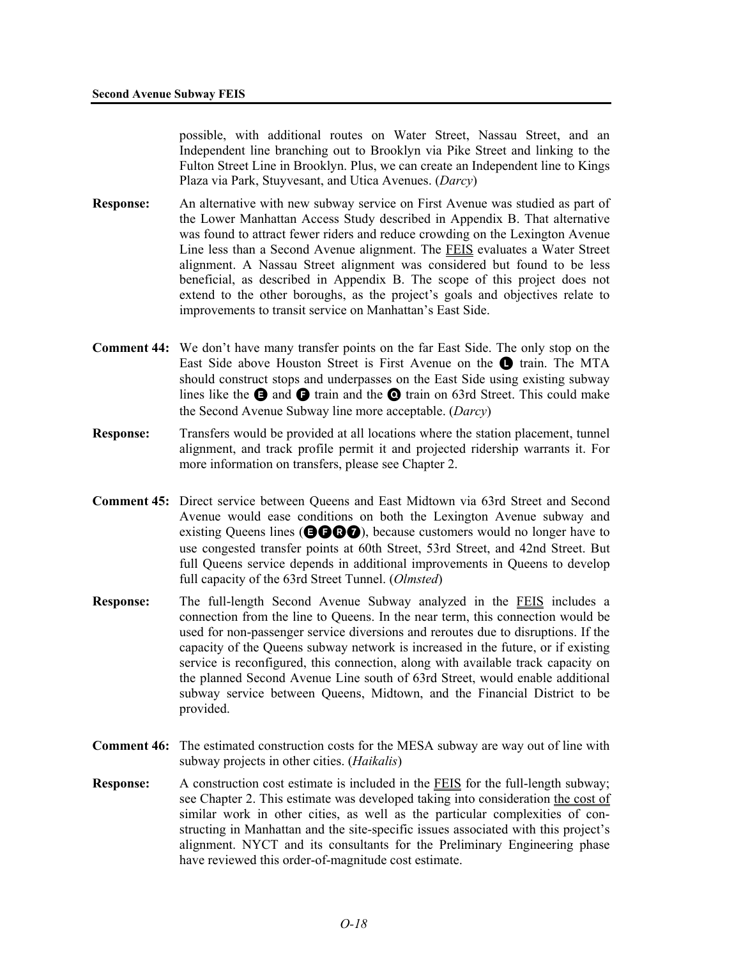possible, with additional routes on Water Street, Nassau Street, and an Independent line branching out to Brooklyn via Pike Street and linking to the Fulton Street Line in Brooklyn. Plus, we can create an Independent line to Kings Plaza via Park, Stuyvesant, and Utica Avenues. (*Darcy*)

- **Response:** An alternative with new subway service on First Avenue was studied as part of the Lower Manhattan Access Study described in Appendix B. That alternative was found to attract fewer riders and reduce crowding on the Lexington Avenue Line less than a Second Avenue alignment. The FEIS evaluates a Water Street alignment. A Nassau Street alignment was considered but found to be less beneficial, as described in Appendix B. The scope of this project does not extend to the other boroughs, as the project's goals and objectives relate to improvements to transit service on Manhattan's East Side.
- **Comment 44:** We don't have many transfer points on the far East Side. The only stop on the East Side above Houston Street is First Avenue on the **Q** train. The MTA should construct stops and underpasses on the East Side using existing subway lines like the  $\bigcirc$  and  $\bigcirc$  train and the  $\bigcirc$  train on 63rd Street. This could make the Second Avenue Subway line more acceptable. (*Darcy*)
- **Response:** Transfers would be provided at all locations where the station placement, tunnel alignment, and track profile permit it and projected ridership warrants it. For more information on transfers, please see Chapter 2.
- **Comment 45:** Direct service between Queens and East Midtown via 63rd Street and Second Avenue would ease conditions on both the Lexington Avenue subway and existing Queens lines ( $\bigcirc$  $\bigcirc$  $\bigcirc$ ), because customers would no longer have to use congested transfer points at 60th Street, 53rd Street, and 42nd Street. But full Queens service depends in additional improvements in Queens to develop full capacity of the 63rd Street Tunnel. (*Olmsted*)
- **Response:** The full-length Second Avenue Subway analyzed in the FEIS includes a connection from the line to Queens. In the near term, this connection would be used for non-passenger service diversions and reroutes due to disruptions. If the capacity of the Queens subway network is increased in the future, or if existing service is reconfigured, this connection, along with available track capacity on the planned Second Avenue Line south of 63rd Street, would enable additional subway service between Queens, Midtown, and the Financial District to be provided.
- **Comment 46:** The estimated construction costs for the MESA subway are way out of line with subway projects in other cities. (*Haikalis*)
- **Response:** A construction cost estimate is included in the FEIS for the full-length subway; see Chapter 2. This estimate was developed taking into consideration the cost of similar work in other cities, as well as the particular complexities of constructing in Manhattan and the site-specific issues associated with this project's alignment. NYCT and its consultants for the Preliminary Engineering phase have reviewed this order-of-magnitude cost estimate.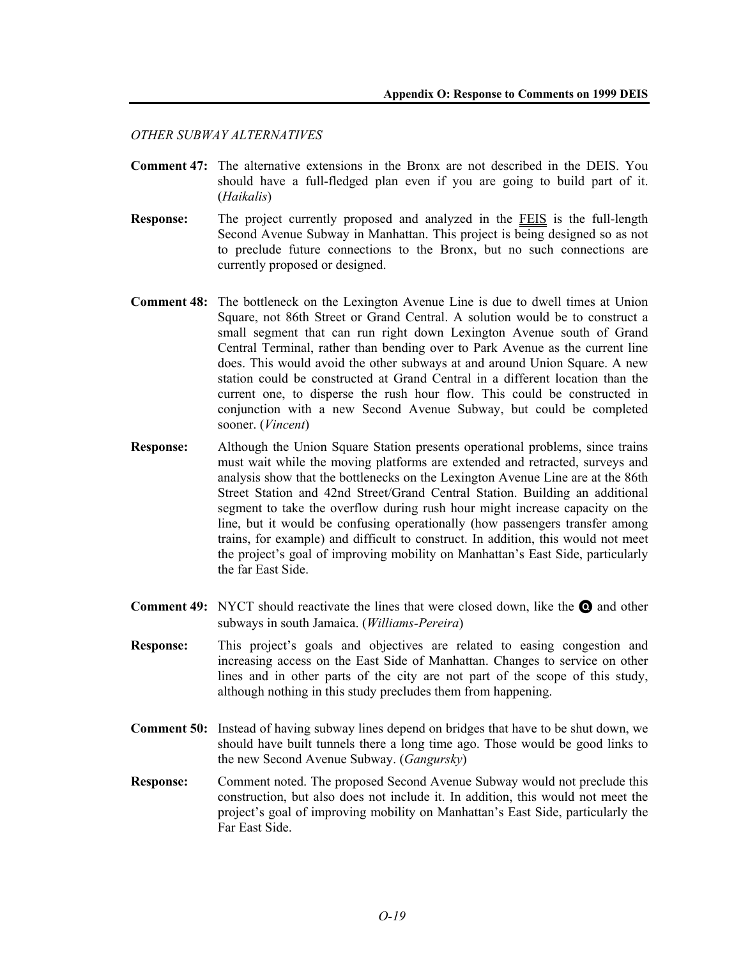#### *OTHER SUBWAY ALTERNATIVES*

- **Comment 47:** The alternative extensions in the Bronx are not described in the DEIS. You should have a full-fledged plan even if you are going to build part of it. (*Haikalis*)
- **Response:** The project currently proposed and analyzed in the FEIS is the full-length Second Avenue Subway in Manhattan. This project is being designed so as not to preclude future connections to the Bronx, but no such connections are currently proposed or designed.
- **Comment 48:** The bottleneck on the Lexington Avenue Line is due to dwell times at Union Square, not 86th Street or Grand Central. A solution would be to construct a small segment that can run right down Lexington Avenue south of Grand Central Terminal, rather than bending over to Park Avenue as the current line does. This would avoid the other subways at and around Union Square. A new station could be constructed at Grand Central in a different location than the current one, to disperse the rush hour flow. This could be constructed in conjunction with a new Second Avenue Subway, but could be completed sooner. (*Vincent*)
- **Response:** Although the Union Square Station presents operational problems, since trains must wait while the moving platforms are extended and retracted, surveys and analysis show that the bottlenecks on the Lexington Avenue Line are at the 86th Street Station and 42nd Street/Grand Central Station. Building an additional segment to take the overflow during rush hour might increase capacity on the line, but it would be confusing operationally (how passengers transfer among trains, for example) and difficult to construct. In addition, this would not meet the project's goal of improving mobility on Manhattan's East Side, particularly the far East Side.
- **Comment 49:** NYCT should reactivate the lines that were closed down, like the **Q** and other subways in south Jamaica. (*Williams-Pereira*)
- **Response:** This project's goals and objectives are related to easing congestion and increasing access on the East Side of Manhattan. Changes to service on other lines and in other parts of the city are not part of the scope of this study, although nothing in this study precludes them from happening.
- **Comment 50:** Instead of having subway lines depend on bridges that have to be shut down, we should have built tunnels there a long time ago. Those would be good links to the new Second Avenue Subway. (*Gangursky*)
- **Response:** Comment noted. The proposed Second Avenue Subway would not preclude this construction, but also does not include it. In addition, this would not meet the project's goal of improving mobility on Manhattan's East Side, particularly the Far East Side.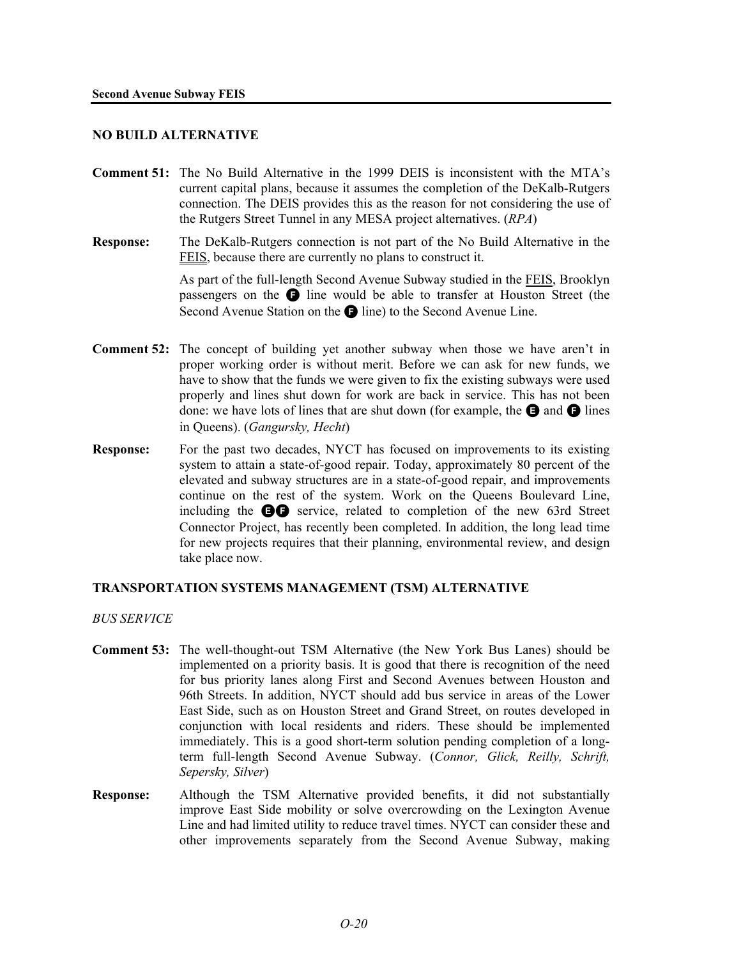## **NO BUILD ALTERNATIVE**

- **Comment 51:** The No Build Alternative in the 1999 DEIS is inconsistent with the MTA's current capital plans, because it assumes the completion of the DeKalb-Rutgers connection. The DEIS provides this as the reason for not considering the use of the Rutgers Street Tunnel in any MESA project alternatives. (*RPA*)
- **Response:** The DeKalb-Rutgers connection is not part of the No Build Alternative in the FEIS, because there are currently no plans to construct it.

As part of the full-length Second Avenue Subway studied in the FEIS, Brooklyn passengers on the  $\bigcirc$  line would be able to transfer at Houston Street (the Second Avenue Station on the  $\bigcirc$  line) to the Second Avenue Line.

- **Comment 52:** The concept of building yet another subway when those we have aren't in proper working order is without merit. Before we can ask for new funds, we have to show that the funds we were given to fix the existing subways were used properly and lines shut down for work are back in service. This has not been done: we have lots of lines that are shut down (for example, the  $\bigoplus$  and  $\bigoplus$  lines in Queens). (*Gangursky, Hecht*)
- **Response:** For the past two decades, NYCT has focused on improvements to its existing system to attain a state-of-good repair. Today, approximately 80 percent of the elevated and subway structures are in a state-of-good repair, and improvements continue on the rest of the system. Work on the Queens Boulevard Line, including the  $\bigoplus$  service, related to completion of the new 63rd Street Connector Project, has recently been completed. In addition, the long lead time for new projects requires that their planning, environmental review, and design take place now.

## **TRANSPORTATION SYSTEMS MANAGEMENT (TSM) ALTERNATIVE**

*BUS SERVICE* 

- **Comment 53:** The well-thought-out TSM Alternative (the New York Bus Lanes) should be implemented on a priority basis. It is good that there is recognition of the need for bus priority lanes along First and Second Avenues between Houston and 96th Streets. In addition, NYCT should add bus service in areas of the Lower East Side, such as on Houston Street and Grand Street, on routes developed in conjunction with local residents and riders. These should be implemented immediately. This is a good short-term solution pending completion of a longterm full-length Second Avenue Subway. (*Connor, Glick, Reilly, Schrift, Sepersky, Silver*)
- **Response:** Although the TSM Alternative provided benefits, it did not substantially improve East Side mobility or solve overcrowding on the Lexington Avenue Line and had limited utility to reduce travel times. NYCT can consider these and other improvements separately from the Second Avenue Subway, making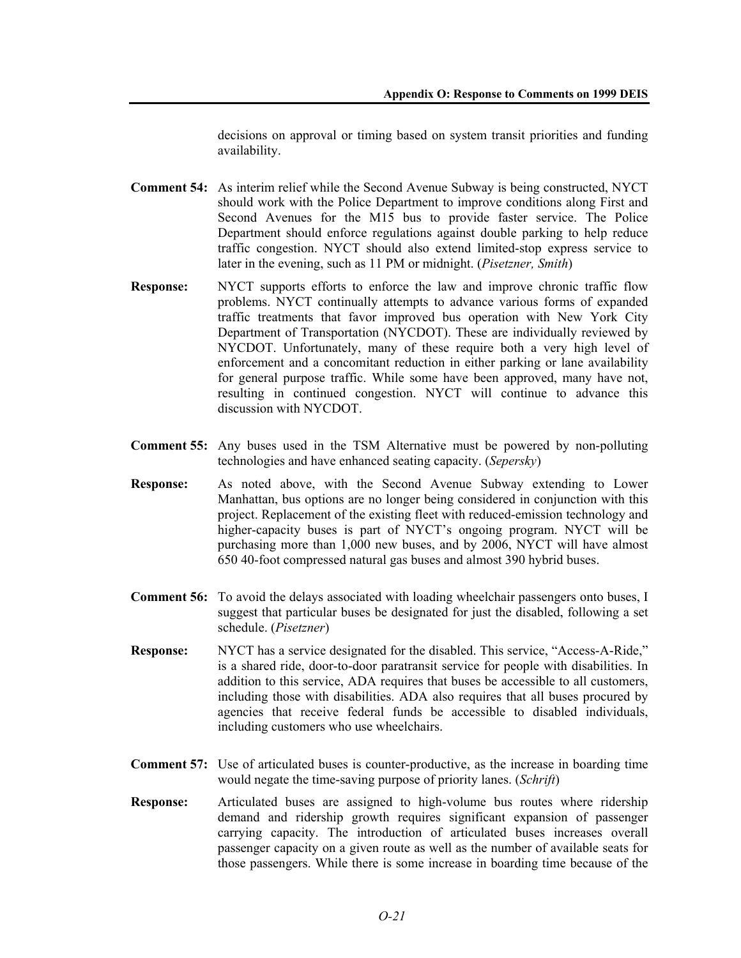decisions on approval or timing based on system transit priorities and funding availability.

- **Comment 54:** As interim relief while the Second Avenue Subway is being constructed, NYCT should work with the Police Department to improve conditions along First and Second Avenues for the M15 bus to provide faster service. The Police Department should enforce regulations against double parking to help reduce traffic congestion. NYCT should also extend limited-stop express service to later in the evening, such as 11 PM or midnight. (*Pisetzner, Smith*)
- **Response:** NYCT supports efforts to enforce the law and improve chronic traffic flow problems. NYCT continually attempts to advance various forms of expanded traffic treatments that favor improved bus operation with New York City Department of Transportation (NYCDOT). These are individually reviewed by NYCDOT. Unfortunately, many of these require both a very high level of enforcement and a concomitant reduction in either parking or lane availability for general purpose traffic. While some have been approved, many have not, resulting in continued congestion. NYCT will continue to advance this discussion with NYCDOT.
- **Comment 55:** Any buses used in the TSM Alternative must be powered by non-polluting technologies and have enhanced seating capacity. (*Sepersky*)
- **Response:** As noted above, with the Second Avenue Subway extending to Lower Manhattan, bus options are no longer being considered in conjunction with this project. Replacement of the existing fleet with reduced-emission technology and higher-capacity buses is part of NYCT's ongoing program. NYCT will be purchasing more than 1,000 new buses, and by 2006, NYCT will have almost 650 40-foot compressed natural gas buses and almost 390 hybrid buses.
- **Comment 56:** To avoid the delays associated with loading wheelchair passengers onto buses, I suggest that particular buses be designated for just the disabled, following a set schedule. (*Pisetzner*)
- **Response:** NYCT has a service designated for the disabled. This service, "Access-A-Ride," is a shared ride, door-to-door paratransit service for people with disabilities. In addition to this service, ADA requires that buses be accessible to all customers, including those with disabilities. ADA also requires that all buses procured by agencies that receive federal funds be accessible to disabled individuals, including customers who use wheelchairs.
- **Comment 57:** Use of articulated buses is counter-productive, as the increase in boarding time would negate the time-saving purpose of priority lanes. (*Schrift*)
- **Response:** Articulated buses are assigned to high-volume bus routes where ridership demand and ridership growth requires significant expansion of passenger carrying capacity. The introduction of articulated buses increases overall passenger capacity on a given route as well as the number of available seats for those passengers. While there is some increase in boarding time because of the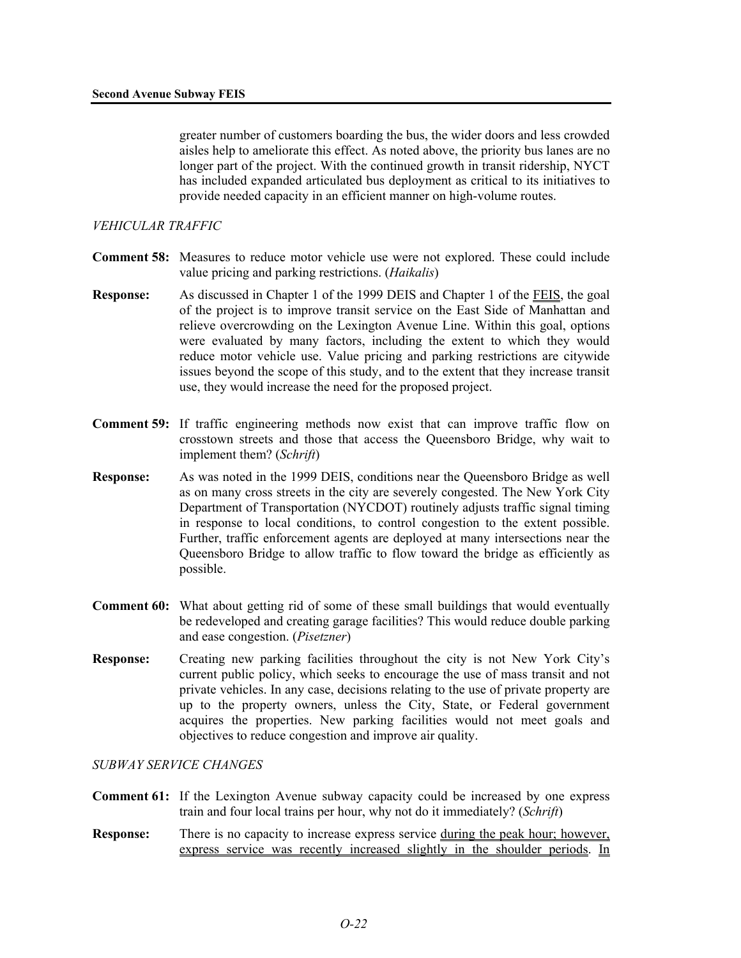greater number of customers boarding the bus, the wider doors and less crowded aisles help to ameliorate this effect. As noted above, the priority bus lanes are no longer part of the project. With the continued growth in transit ridership, NYCT has included expanded articulated bus deployment as critical to its initiatives to provide needed capacity in an efficient manner on high-volume routes.

## *VEHICULAR TRAFFIC*

- **Comment 58:** Measures to reduce motor vehicle use were not explored. These could include value pricing and parking restrictions. (*Haikalis*)
- **Response:** As discussed in Chapter 1 of the 1999 DEIS and Chapter 1 of the FEIS, the goal of the project is to improve transit service on the East Side of Manhattan and relieve overcrowding on the Lexington Avenue Line. Within this goal, options were evaluated by many factors, including the extent to which they would reduce motor vehicle use. Value pricing and parking restrictions are citywide issues beyond the scope of this study, and to the extent that they increase transit use, they would increase the need for the proposed project.
- **Comment 59:** If traffic engineering methods now exist that can improve traffic flow on crosstown streets and those that access the Queensboro Bridge, why wait to implement them? (*Schrift*)
- **Response:** As was noted in the 1999 DEIS, conditions near the Queensboro Bridge as well as on many cross streets in the city are severely congested. The New York City Department of Transportation (NYCDOT) routinely adjusts traffic signal timing in response to local conditions, to control congestion to the extent possible. Further, traffic enforcement agents are deployed at many intersections near the Queensboro Bridge to allow traffic to flow toward the bridge as efficiently as possible.
- **Comment 60:** What about getting rid of some of these small buildings that would eventually be redeveloped and creating garage facilities? This would reduce double parking and ease congestion. (*Pisetzner*)
- **Response:** Creating new parking facilities throughout the city is not New York City's current public policy, which seeks to encourage the use of mass transit and not private vehicles. In any case, decisions relating to the use of private property are up to the property owners, unless the City, State, or Federal government acquires the properties. New parking facilities would not meet goals and objectives to reduce congestion and improve air quality.

## *SUBWAY SERVICE CHANGES*

- **Comment 61:** If the Lexington Avenue subway capacity could be increased by one express train and four local trains per hour, why not do it immediately? (*Schrift*)
- **Response:** There is no capacity to increase express service during the peak hour; however, express service was recently increased slightly in the shoulder periods. In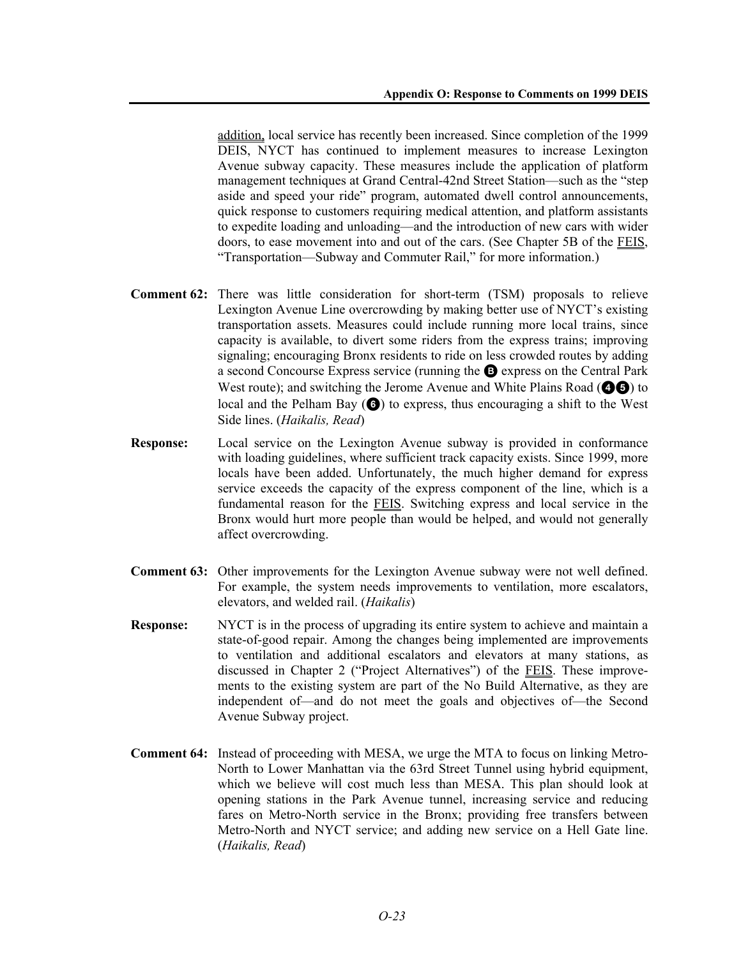addition, local service has recently been increased. Since completion of the 1999 DEIS, NYCT has continued to implement measures to increase Lexington Avenue subway capacity. These measures include the application of platform management techniques at Grand Central-42nd Street Station—such as the "step aside and speed your ride" program, automated dwell control announcements, quick response to customers requiring medical attention, and platform assistants to expedite loading and unloading—and the introduction of new cars with wider doors, to ease movement into and out of the cars. (See Chapter 5B of the FEIS, "Transportation—Subway and Commuter Rail," for more information.)

- **Comment 62:** There was little consideration for short-term (TSM) proposals to relieve Lexington Avenue Line overcrowding by making better use of NYCT's existing transportation assets. Measures could include running more local trains, since capacity is available, to divert some riders from the express trains; improving signaling; encouraging Bronx residents to ride on less crowded routes by adding a second Concourse Express service (running the B express on the Central Park West route); and switching the Jerome Avenue and White Plains Road  $($ local and the Pelham Bay  $\left(\bigodot\right)$  to express, thus encouraging a shift to the West Side lines. (*Haikalis, Read*)
- **Response:** Local service on the Lexington Avenue subway is provided in conformance with loading guidelines, where sufficient track capacity exists. Since 1999, more locals have been added. Unfortunately, the much higher demand for express service exceeds the capacity of the express component of the line, which is a fundamental reason for the FEIS. Switching express and local service in the Bronx would hurt more people than would be helped, and would not generally affect overcrowding.
- **Comment 63:** Other improvements for the Lexington Avenue subway were not well defined. For example, the system needs improvements to ventilation, more escalators, elevators, and welded rail. (*Haikalis*)
- **Response:** NYCT is in the process of upgrading its entire system to achieve and maintain a state-of-good repair. Among the changes being implemented are improvements to ventilation and additional escalators and elevators at many stations, as discussed in Chapter 2 ("Project Alternatives") of the FEIS. These improvements to the existing system are part of the No Build Alternative, as they are independent of—and do not meet the goals and objectives of—the Second Avenue Subway project.
- **Comment 64:** Instead of proceeding with MESA, we urge the MTA to focus on linking Metro-North to Lower Manhattan via the 63rd Street Tunnel using hybrid equipment, which we believe will cost much less than MESA. This plan should look at opening stations in the Park Avenue tunnel, increasing service and reducing fares on Metro-North service in the Bronx; providing free transfers between Metro-North and NYCT service; and adding new service on a Hell Gate line. (*Haikalis, Read*)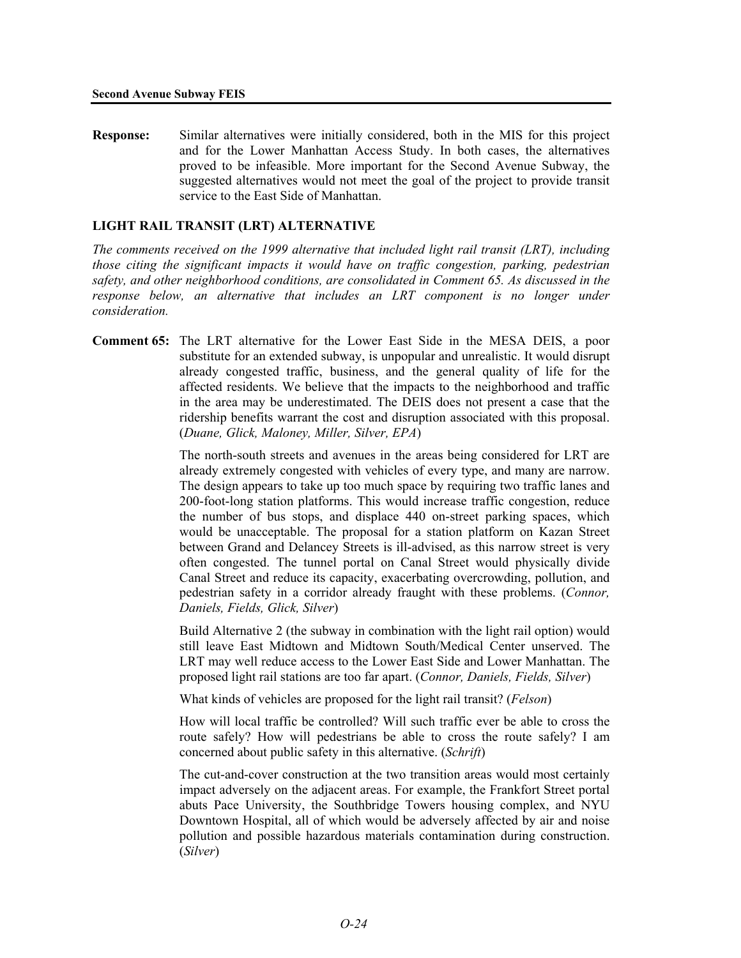**Response:** Similar alternatives were initially considered, both in the MIS for this project and for the Lower Manhattan Access Study. In both cases, the alternatives proved to be infeasible. More important for the Second Avenue Subway, the suggested alternatives would not meet the goal of the project to provide transit service to the East Side of Manhattan.

## **LIGHT RAIL TRANSIT (LRT) ALTERNATIVE**

*The comments received on the 1999 alternative that included light rail transit (LRT), including those citing the significant impacts it would have on traffic congestion, parking, pedestrian safety, and other neighborhood conditions, are consolidated in Comment 65. As discussed in the response below, an alternative that includes an LRT component is no longer under consideration.* 

**Comment 65:** The LRT alternative for the Lower East Side in the MESA DEIS, a poor substitute for an extended subway, is unpopular and unrealistic. It would disrupt already congested traffic, business, and the general quality of life for the affected residents. We believe that the impacts to the neighborhood and traffic in the area may be underestimated. The DEIS does not present a case that the ridership benefits warrant the cost and disruption associated with this proposal. (*Duane, Glick, Maloney, Miller, Silver, EPA*)

> The north-south streets and avenues in the areas being considered for LRT are already extremely congested with vehicles of every type, and many are narrow. The design appears to take up too much space by requiring two traffic lanes and 200-foot-long station platforms. This would increase traffic congestion, reduce the number of bus stops, and displace 440 on-street parking spaces, which would be unacceptable. The proposal for a station platform on Kazan Street between Grand and Delancey Streets is ill-advised, as this narrow street is very often congested. The tunnel portal on Canal Street would physically divide Canal Street and reduce its capacity, exacerbating overcrowding, pollution, and pedestrian safety in a corridor already fraught with these problems. (*Connor, Daniels, Fields, Glick, Silver*)

> Build Alternative 2 (the subway in combination with the light rail option) would still leave East Midtown and Midtown South/Medical Center unserved. The LRT may well reduce access to the Lower East Side and Lower Manhattan. The proposed light rail stations are too far apart. (*Connor, Daniels, Fields, Silver*)

What kinds of vehicles are proposed for the light rail transit? (*Felson*)

How will local traffic be controlled? Will such traffic ever be able to cross the route safely? How will pedestrians be able to cross the route safely? I am concerned about public safety in this alternative. (*Schrift*)

The cut-and-cover construction at the two transition areas would most certainly impact adversely on the adjacent areas. For example, the Frankfort Street portal abuts Pace University, the Southbridge Towers housing complex, and NYU Downtown Hospital, all of which would be adversely affected by air and noise pollution and possible hazardous materials contamination during construction. (*Silver*)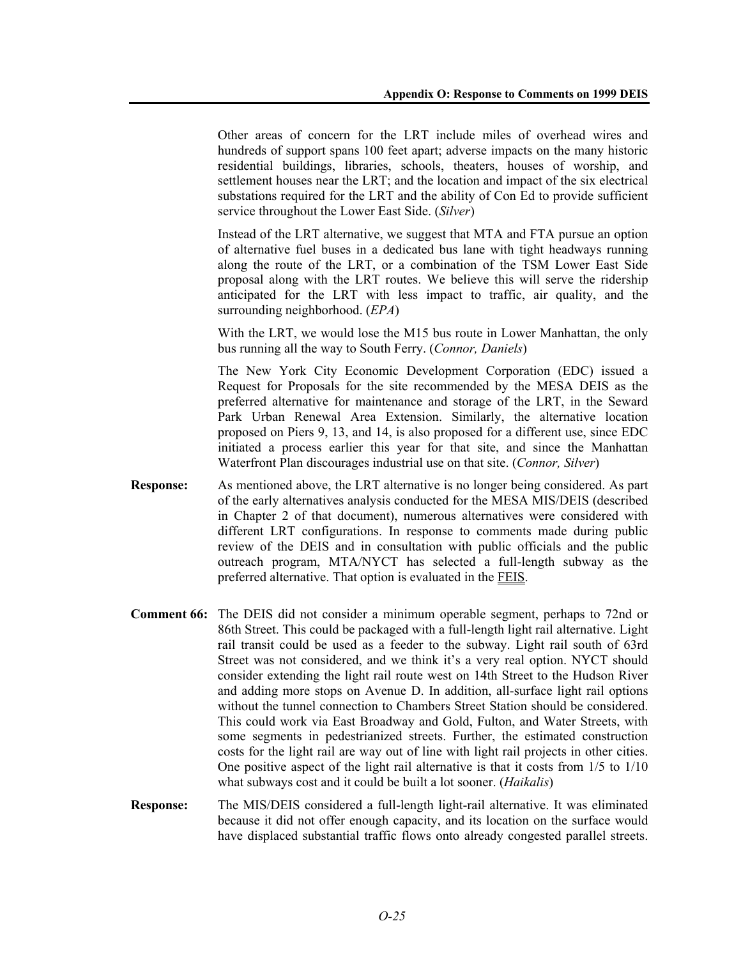Other areas of concern for the LRT include miles of overhead wires and hundreds of support spans 100 feet apart; adverse impacts on the many historic residential buildings, libraries, schools, theaters, houses of worship, and settlement houses near the LRT; and the location and impact of the six electrical substations required for the LRT and the ability of Con Ed to provide sufficient service throughout the Lower East Side. (*Silver*)

Instead of the LRT alternative, we suggest that MTA and FTA pursue an option of alternative fuel buses in a dedicated bus lane with tight headways running along the route of the LRT, or a combination of the TSM Lower East Side proposal along with the LRT routes. We believe this will serve the ridership anticipated for the LRT with less impact to traffic, air quality, and the surrounding neighborhood. (*EPA*)

With the LRT, we would lose the M15 bus route in Lower Manhattan, the only bus running all the way to South Ferry. (*Connor, Daniels*)

The New York City Economic Development Corporation (EDC) issued a Request for Proposals for the site recommended by the MESA DEIS as the preferred alternative for maintenance and storage of the LRT, in the Seward Park Urban Renewal Area Extension. Similarly, the alternative location proposed on Piers 9, 13, and 14, is also proposed for a different use, since EDC initiated a process earlier this year for that site, and since the Manhattan Waterfront Plan discourages industrial use on that site. (*Connor, Silver*)

- **Response:** As mentioned above, the LRT alternative is no longer being considered. As part of the early alternatives analysis conducted for the MESA MIS/DEIS (described in Chapter 2 of that document), numerous alternatives were considered with different LRT configurations. In response to comments made during public review of the DEIS and in consultation with public officials and the public outreach program, MTA/NYCT has selected a full-length subway as the preferred alternative. That option is evaluated in the FEIS.
- **Comment 66:** The DEIS did not consider a minimum operable segment, perhaps to 72nd or 86th Street. This could be packaged with a full-length light rail alternative. Light rail transit could be used as a feeder to the subway. Light rail south of 63rd Street was not considered, and we think it's a very real option. NYCT should consider extending the light rail route west on 14th Street to the Hudson River and adding more stops on Avenue D. In addition, all-surface light rail options without the tunnel connection to Chambers Street Station should be considered. This could work via East Broadway and Gold, Fulton, and Water Streets, with some segments in pedestrianized streets. Further, the estimated construction costs for the light rail are way out of line with light rail projects in other cities. One positive aspect of the light rail alternative is that it costs from 1/5 to 1/10 what subways cost and it could be built a lot sooner. (*Haikalis*)
- **Response:** The MIS/DEIS considered a full-length light-rail alternative. It was eliminated because it did not offer enough capacity, and its location on the surface would have displaced substantial traffic flows onto already congested parallel streets.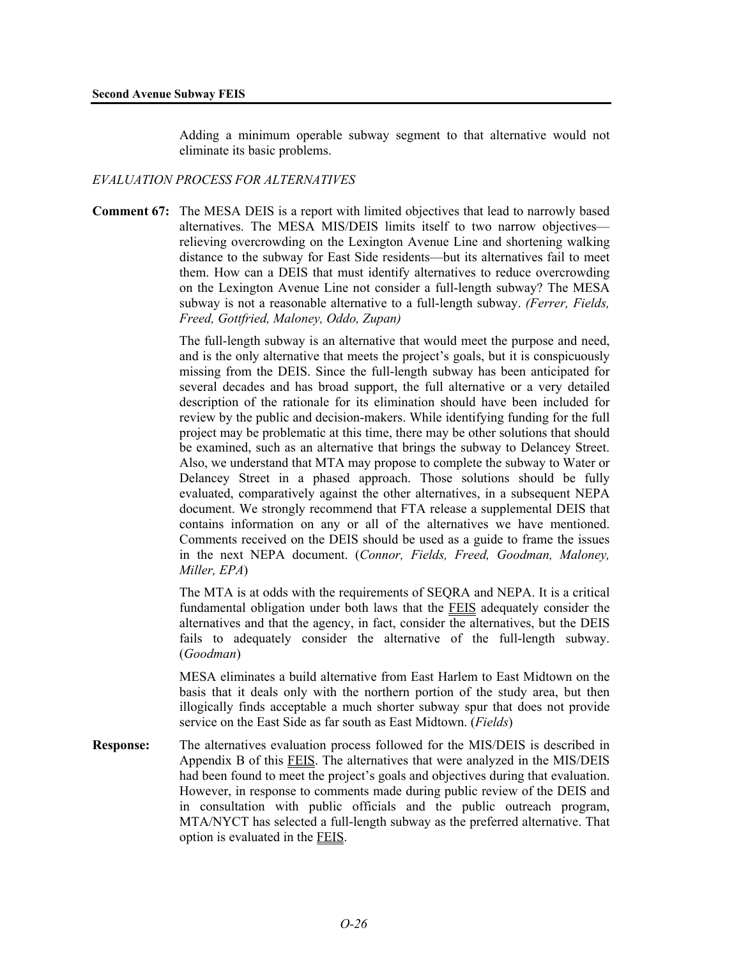Adding a minimum operable subway segment to that alternative would not eliminate its basic problems.

## *EVALUATION PROCESS FOR ALTERNATIVES*

**Comment 67:** The MESA DEIS is a report with limited objectives that lead to narrowly based alternatives. The MESA MIS/DEIS limits itself to two narrow objectives relieving overcrowding on the Lexington Avenue Line and shortening walking distance to the subway for East Side residents—but its alternatives fail to meet them. How can a DEIS that must identify alternatives to reduce overcrowding on the Lexington Avenue Line not consider a full-length subway? The MESA subway is not a reasonable alternative to a full-length subway. *(Ferrer, Fields, Freed, Gottfried, Maloney, Oddo, Zupan)*

> The full-length subway is an alternative that would meet the purpose and need, and is the only alternative that meets the project's goals, but it is conspicuously missing from the DEIS. Since the full-length subway has been anticipated for several decades and has broad support, the full alternative or a very detailed description of the rationale for its elimination should have been included for review by the public and decision-makers. While identifying funding for the full project may be problematic at this time, there may be other solutions that should be examined, such as an alternative that brings the subway to Delancey Street. Also, we understand that MTA may propose to complete the subway to Water or Delancey Street in a phased approach. Those solutions should be fully evaluated, comparatively against the other alternatives, in a subsequent NEPA document. We strongly recommend that FTA release a supplemental DEIS that contains information on any or all of the alternatives we have mentioned. Comments received on the DEIS should be used as a guide to frame the issues in the next NEPA document. (*Connor, Fields, Freed, Goodman, Maloney, Miller, EPA*)

> The MTA is at odds with the requirements of SEQRA and NEPA. It is a critical fundamental obligation under both laws that the FEIS adequately consider the alternatives and that the agency, in fact, consider the alternatives, but the DEIS fails to adequately consider the alternative of the full-length subway. (*Goodman*)

> MESA eliminates a build alternative from East Harlem to East Midtown on the basis that it deals only with the northern portion of the study area, but then illogically finds acceptable a much shorter subway spur that does not provide service on the East Side as far south as East Midtown. (*Fields*)

**Response:** The alternatives evaluation process followed for the MIS/DEIS is described in Appendix B of this FEIS. The alternatives that were analyzed in the MIS/DEIS had been found to meet the project's goals and objectives during that evaluation. However, in response to comments made during public review of the DEIS and in consultation with public officials and the public outreach program, MTA/NYCT has selected a full-length subway as the preferred alternative. That option is evaluated in the FEIS.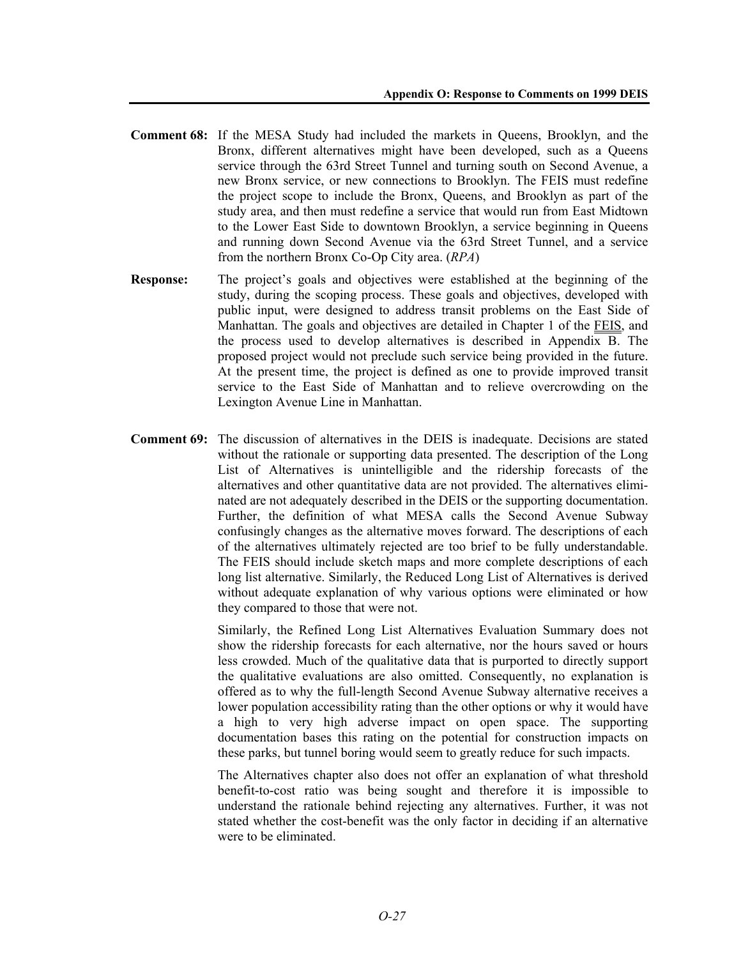- **Comment 68:** If the MESA Study had included the markets in Queens, Brooklyn, and the Bronx, different alternatives might have been developed, such as a Queens service through the 63rd Street Tunnel and turning south on Second Avenue, a new Bronx service, or new connections to Brooklyn. The FEIS must redefine the project scope to include the Bronx, Queens, and Brooklyn as part of the study area, and then must redefine a service that would run from East Midtown to the Lower East Side to downtown Brooklyn, a service beginning in Queens and running down Second Avenue via the 63rd Street Tunnel, and a service from the northern Bronx Co-Op City area. (*RPA*)
- **Response:** The project's goals and objectives were established at the beginning of the study, during the scoping process. These goals and objectives, developed with public input, were designed to address transit problems on the East Side of Manhattan. The goals and objectives are detailed in Chapter 1 of the FEIS, and the process used to develop alternatives is described in Appendix B. The proposed project would not preclude such service being provided in the future. At the present time, the project is defined as one to provide improved transit service to the East Side of Manhattan and to relieve overcrowding on the Lexington Avenue Line in Manhattan.
- **Comment 69:** The discussion of alternatives in the DEIS is inadequate. Decisions are stated without the rationale or supporting data presented. The description of the Long List of Alternatives is unintelligible and the ridership forecasts of the alternatives and other quantitative data are not provided. The alternatives eliminated are not adequately described in the DEIS or the supporting documentation. Further, the definition of what MESA calls the Second Avenue Subway confusingly changes as the alternative moves forward. The descriptions of each of the alternatives ultimately rejected are too brief to be fully understandable. The FEIS should include sketch maps and more complete descriptions of each long list alternative. Similarly, the Reduced Long List of Alternatives is derived without adequate explanation of why various options were eliminated or how they compared to those that were not.

Similarly, the Refined Long List Alternatives Evaluation Summary does not show the ridership forecasts for each alternative, nor the hours saved or hours less crowded. Much of the qualitative data that is purported to directly support the qualitative evaluations are also omitted. Consequently, no explanation is offered as to why the full-length Second Avenue Subway alternative receives a lower population accessibility rating than the other options or why it would have a high to very high adverse impact on open space. The supporting documentation bases this rating on the potential for construction impacts on these parks, but tunnel boring would seem to greatly reduce for such impacts.

The Alternatives chapter also does not offer an explanation of what threshold benefit-to-cost ratio was being sought and therefore it is impossible to understand the rationale behind rejecting any alternatives. Further, it was not stated whether the cost-benefit was the only factor in deciding if an alternative were to be eliminated.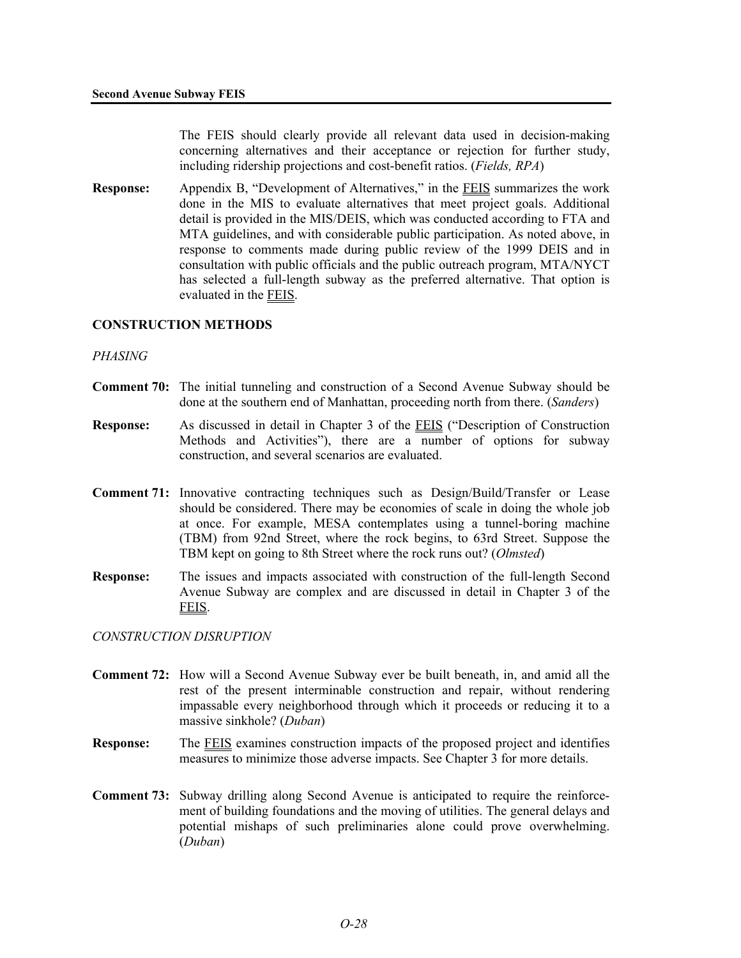The FEIS should clearly provide all relevant data used in decision-making concerning alternatives and their acceptance or rejection for further study, including ridership projections and cost-benefit ratios. (*Fields, RPA*)

**Response:** Appendix B, "Development of Alternatives," in the FEIS summarizes the work done in the MIS to evaluate alternatives that meet project goals. Additional detail is provided in the MIS/DEIS, which was conducted according to FTA and MTA guidelines, and with considerable public participation. As noted above, in response to comments made during public review of the 1999 DEIS and in consultation with public officials and the public outreach program, MTA/NYCT has selected a full-length subway as the preferred alternative. That option is evaluated in the FEIS.

## **CONSTRUCTION METHODS**

#### *PHASING*

- **Comment 70:** The initial tunneling and construction of a Second Avenue Subway should be done at the southern end of Manhattan, proceeding north from there. (*Sanders*)
- **Response:** As discussed in detail in Chapter 3 of the FEIS ("Description of Construction Methods and Activities"), there are a number of options for subway construction, and several scenarios are evaluated.
- **Comment 71:** Innovative contracting techniques such as Design/Build/Transfer or Lease should be considered. There may be economies of scale in doing the whole job at once. For example, MESA contemplates using a tunnel-boring machine (TBM) from 92nd Street, where the rock begins, to 63rd Street. Suppose the TBM kept on going to 8th Street where the rock runs out? (*Olmsted*)
- **Response:** The issues and impacts associated with construction of the full-length Second Avenue Subway are complex and are discussed in detail in Chapter 3 of the FEIS.

#### *CONSTRUCTION DISRUPTION*

- **Comment 72:** How will a Second Avenue Subway ever be built beneath, in, and amid all the rest of the present interminable construction and repair, without rendering impassable every neighborhood through which it proceeds or reducing it to a massive sinkhole? (*Duban*)
- **Response:** The FEIS examines construction impacts of the proposed project and identifies measures to minimize those adverse impacts. See Chapter 3 for more details.
- **Comment 73:** Subway drilling along Second Avenue is anticipated to require the reinforcement of building foundations and the moving of utilities. The general delays and potential mishaps of such preliminaries alone could prove overwhelming. (*Duban*)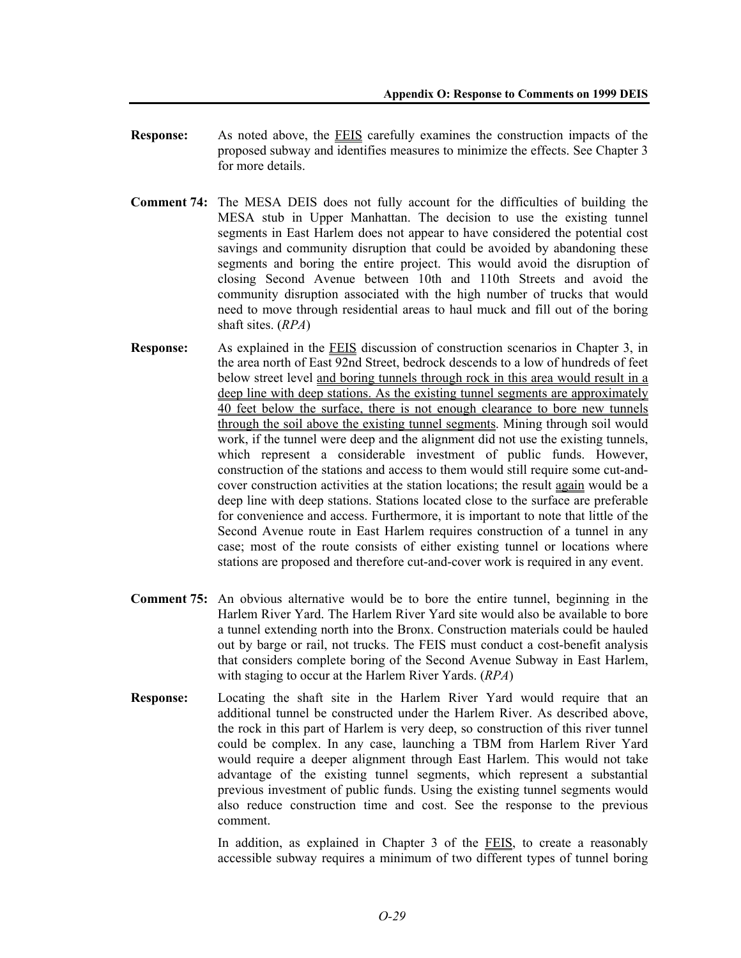- **Response:** As noted above, the FEIS carefully examines the construction impacts of the proposed subway and identifies measures to minimize the effects. See Chapter 3 for more details.
- **Comment 74:** The MESA DEIS does not fully account for the difficulties of building the MESA stub in Upper Manhattan. The decision to use the existing tunnel segments in East Harlem does not appear to have considered the potential cost savings and community disruption that could be avoided by abandoning these segments and boring the entire project. This would avoid the disruption of closing Second Avenue between 10th and 110th Streets and avoid the community disruption associated with the high number of trucks that would need to move through residential areas to haul muck and fill out of the boring shaft sites. (*RPA*)
- **Response:** As explained in the FEIS discussion of construction scenarios in Chapter 3, in the area north of East 92nd Street, bedrock descends to a low of hundreds of feet below street level and boring tunnels through rock in this area would result in a deep line with deep stations. As the existing tunnel segments are approximately 40 feet below the surface, there is not enough clearance to bore new tunnels through the soil above the existing tunnel segments. Mining through soil would work, if the tunnel were deep and the alignment did not use the existing tunnels, which represent a considerable investment of public funds. However, construction of the stations and access to them would still require some cut-andcover construction activities at the station locations; the result again would be a deep line with deep stations. Stations located close to the surface are preferable for convenience and access. Furthermore, it is important to note that little of the Second Avenue route in East Harlem requires construction of a tunnel in any case; most of the route consists of either existing tunnel or locations where stations are proposed and therefore cut-and-cover work is required in any event.
- **Comment 75:** An obvious alternative would be to bore the entire tunnel, beginning in the Harlem River Yard. The Harlem River Yard site would also be available to bore a tunnel extending north into the Bronx. Construction materials could be hauled out by barge or rail, not trucks. The FEIS must conduct a cost-benefit analysis that considers complete boring of the Second Avenue Subway in East Harlem, with staging to occur at the Harlem River Yards. (*RPA*)
- **Response:** Locating the shaft site in the Harlem River Yard would require that an additional tunnel be constructed under the Harlem River. As described above, the rock in this part of Harlem is very deep, so construction of this river tunnel could be complex. In any case, launching a TBM from Harlem River Yard would require a deeper alignment through East Harlem. This would not take advantage of the existing tunnel segments, which represent a substantial previous investment of public funds. Using the existing tunnel segments would also reduce construction time and cost. See the response to the previous comment.

In addition, as explained in Chapter 3 of the FEIS, to create a reasonably accessible subway requires a minimum of two different types of tunnel boring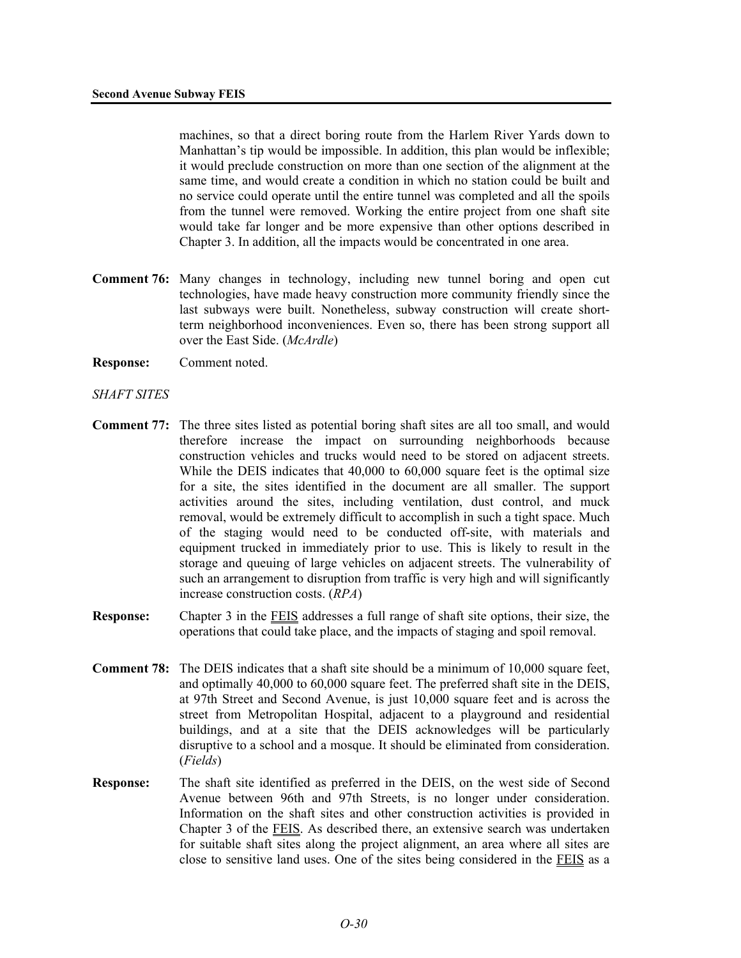machines, so that a direct boring route from the Harlem River Yards down to Manhattan's tip would be impossible. In addition, this plan would be inflexible; it would preclude construction on more than one section of the alignment at the same time, and would create a condition in which no station could be built and no service could operate until the entire tunnel was completed and all the spoils from the tunnel were removed. Working the entire project from one shaft site would take far longer and be more expensive than other options described in Chapter 3. In addition, all the impacts would be concentrated in one area.

- **Comment 76:** Many changes in technology, including new tunnel boring and open cut technologies, have made heavy construction more community friendly since the last subways were built. Nonetheless, subway construction will create shortterm neighborhood inconveniences. Even so, there has been strong support all over the East Side. (*McArdle*)
- **Response:** Comment noted.

#### *SHAFT SITES*

- **Comment 77:** The three sites listed as potential boring shaft sites are all too small, and would therefore increase the impact on surrounding neighborhoods because construction vehicles and trucks would need to be stored on adjacent streets. While the DEIS indicates that 40,000 to 60,000 square feet is the optimal size for a site, the sites identified in the document are all smaller. The support activities around the sites, including ventilation, dust control, and muck removal, would be extremely difficult to accomplish in such a tight space. Much of the staging would need to be conducted off-site, with materials and equipment trucked in immediately prior to use. This is likely to result in the storage and queuing of large vehicles on adjacent streets. The vulnerability of such an arrangement to disruption from traffic is very high and will significantly increase construction costs. (*RPA*)
- **Response:** Chapter 3 in the FEIS addresses a full range of shaft site options, their size, the operations that could take place, and the impacts of staging and spoil removal.
- **Comment 78:** The DEIS indicates that a shaft site should be a minimum of 10,000 square feet, and optimally 40,000 to 60,000 square feet. The preferred shaft site in the DEIS, at 97th Street and Second Avenue, is just 10,000 square feet and is across the street from Metropolitan Hospital, adjacent to a playground and residential buildings, and at a site that the DEIS acknowledges will be particularly disruptive to a school and a mosque. It should be eliminated from consideration. (*Fields*)
- **Response:** The shaft site identified as preferred in the DEIS, on the west side of Second Avenue between 96th and 97th Streets, is no longer under consideration. Information on the shaft sites and other construction activities is provided in Chapter 3 of the FEIS. As described there, an extensive search was undertaken for suitable shaft sites along the project alignment, an area where all sites are close to sensitive land uses. One of the sites being considered in the FEIS as a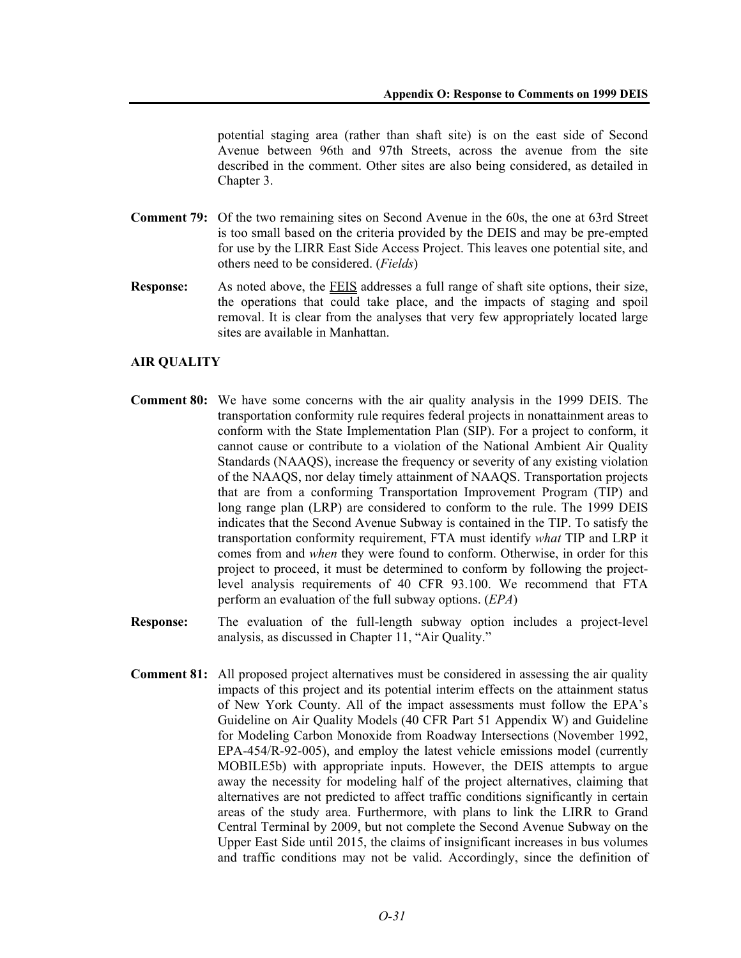potential staging area (rather than shaft site) is on the east side of Second Avenue between 96th and 97th Streets, across the avenue from the site described in the comment. Other sites are also being considered, as detailed in Chapter 3.

- **Comment 79:** Of the two remaining sites on Second Avenue in the 60s, the one at 63rd Street is too small based on the criteria provided by the DEIS and may be pre-empted for use by the LIRR East Side Access Project. This leaves one potential site, and others need to be considered. (*Fields*)
- **Response:** As noted above, the FEIS addresses a full range of shaft site options, their size, the operations that could take place, and the impacts of staging and spoil removal. It is clear from the analyses that very few appropriately located large sites are available in Manhattan.

## **AIR QUALITY**

- **Comment 80:** We have some concerns with the air quality analysis in the 1999 DEIS. The transportation conformity rule requires federal projects in nonattainment areas to conform with the State Implementation Plan (SIP). For a project to conform, it cannot cause or contribute to a violation of the National Ambient Air Quality Standards (NAAQS), increase the frequency or severity of any existing violation of the NAAQS, nor delay timely attainment of NAAQS. Transportation projects that are from a conforming Transportation Improvement Program (TIP) and long range plan (LRP) are considered to conform to the rule. The 1999 DEIS indicates that the Second Avenue Subway is contained in the TIP. To satisfy the transportation conformity requirement, FTA must identify *what* TIP and LRP it comes from and *when* they were found to conform. Otherwise, in order for this project to proceed, it must be determined to conform by following the projectlevel analysis requirements of 40 CFR 93.100. We recommend that FTA perform an evaluation of the full subway options. (*EPA*)
- **Response:** The evaluation of the full-length subway option includes a project-level analysis, as discussed in Chapter 11, "Air Quality."
- **Comment 81:** All proposed project alternatives must be considered in assessing the air quality impacts of this project and its potential interim effects on the attainment status of New York County. All of the impact assessments must follow the EPA's Guideline on Air Quality Models (40 CFR Part 51 Appendix W) and Guideline for Modeling Carbon Monoxide from Roadway Intersections (November 1992, EPA-454/R-92-005), and employ the latest vehicle emissions model (currently MOBILE5b) with appropriate inputs. However, the DEIS attempts to argue away the necessity for modeling half of the project alternatives, claiming that alternatives are not predicted to affect traffic conditions significantly in certain areas of the study area. Furthermore, with plans to link the LIRR to Grand Central Terminal by 2009, but not complete the Second Avenue Subway on the Upper East Side until 2015, the claims of insignificant increases in bus volumes and traffic conditions may not be valid. Accordingly, since the definition of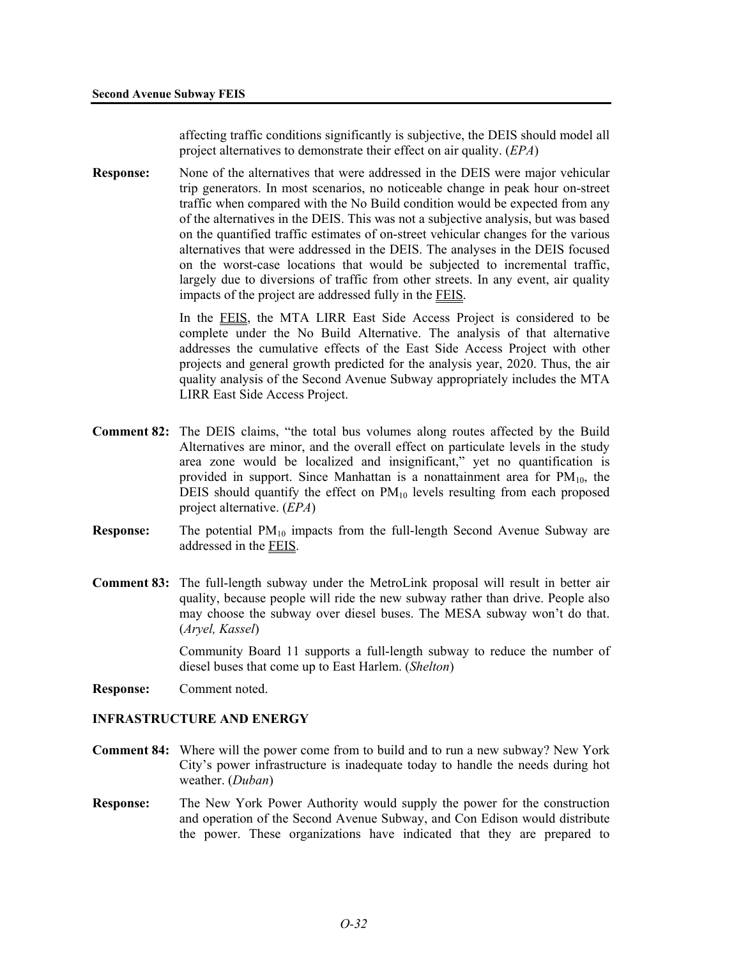affecting traffic conditions significantly is subjective, the DEIS should model all project alternatives to demonstrate their effect on air quality. (*EPA*)

**Response:** None of the alternatives that were addressed in the DEIS were major vehicular trip generators. In most scenarios, no noticeable change in peak hour on-street traffic when compared with the No Build condition would be expected from any of the alternatives in the DEIS. This was not a subjective analysis, but was based on the quantified traffic estimates of on-street vehicular changes for the various alternatives that were addressed in the DEIS. The analyses in the DEIS focused on the worst-case locations that would be subjected to incremental traffic, largely due to diversions of traffic from other streets. In any event, air quality impacts of the project are addressed fully in the FEIS.

> In the FEIS, the MTA LIRR East Side Access Project is considered to be complete under the No Build Alternative. The analysis of that alternative addresses the cumulative effects of the East Side Access Project with other projects and general growth predicted for the analysis year, 2020. Thus, the air quality analysis of the Second Avenue Subway appropriately includes the MTA LIRR East Side Access Project.

- **Comment 82:** The DEIS claims, "the total bus volumes along routes affected by the Build Alternatives are minor, and the overall effect on particulate levels in the study area zone would be localized and insignificant," yet no quantification is provided in support. Since Manhattan is a nonattainment area for  $PM_{10}$ , the DEIS should quantify the effect on  $PM_{10}$  levels resulting from each proposed project alternative. (*EPA*)
- **Response:** The potential PM<sub>10</sub> impacts from the full-length Second Avenue Subway are addressed in the FEIS.
- **Comment 83:** The full-length subway under the MetroLink proposal will result in better air quality, because people will ride the new subway rather than drive. People also may choose the subway over diesel buses. The MESA subway won't do that. (*Aryel, Kassel*)

Community Board 11 supports a full-length subway to reduce the number of diesel buses that come up to East Harlem. (*Shelton*)

**Response:** Comment noted.

#### **INFRASTRUCTURE AND ENERGY**

- **Comment 84:** Where will the power come from to build and to run a new subway? New York City's power infrastructure is inadequate today to handle the needs during hot weather. (*Duban*)
- **Response:** The New York Power Authority would supply the power for the construction and operation of the Second Avenue Subway, and Con Edison would distribute the power. These organizations have indicated that they are prepared to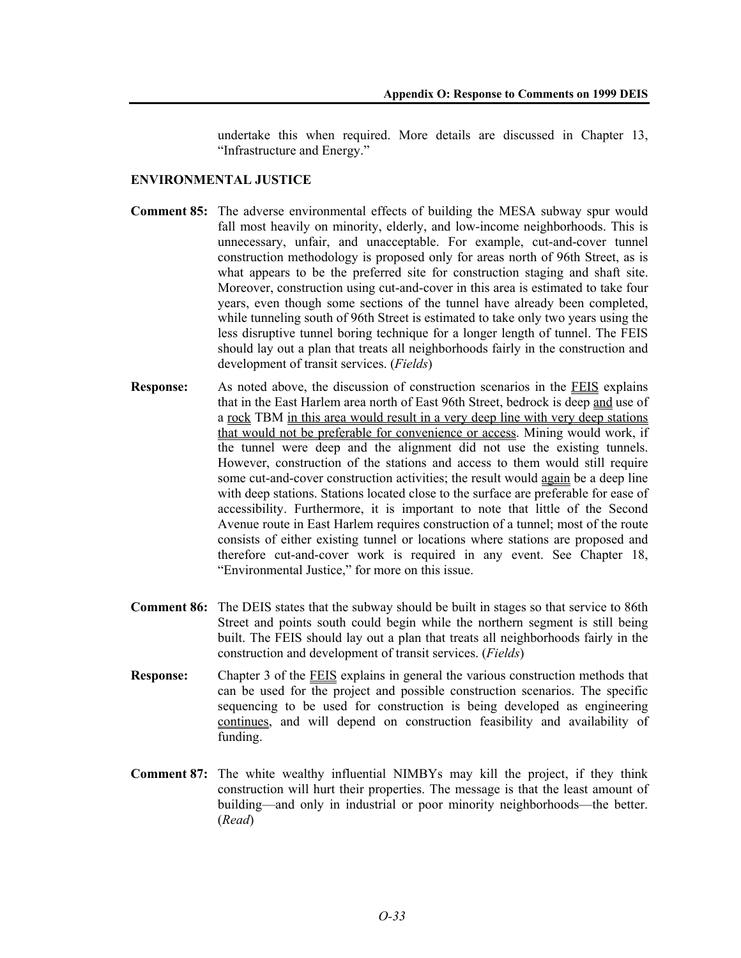undertake this when required. More details are discussed in Chapter 13, "Infrastructure and Energy."

## **ENVIRONMENTAL JUSTICE**

- **Comment 85:** The adverse environmental effects of building the MESA subway spur would fall most heavily on minority, elderly, and low-income neighborhoods. This is unnecessary, unfair, and unacceptable. For example, cut-and-cover tunnel construction methodology is proposed only for areas north of 96th Street, as is what appears to be the preferred site for construction staging and shaft site. Moreover, construction using cut-and-cover in this area is estimated to take four years, even though some sections of the tunnel have already been completed, while tunneling south of 96th Street is estimated to take only two years using the less disruptive tunnel boring technique for a longer length of tunnel. The FEIS should lay out a plan that treats all neighborhoods fairly in the construction and development of transit services. (*Fields*)
- **Response:** As noted above, the discussion of construction scenarios in the FEIS explains that in the East Harlem area north of East 96th Street, bedrock is deep and use of a rock TBM in this area would result in a very deep line with very deep stations that would not be preferable for convenience or access. Mining would work, if the tunnel were deep and the alignment did not use the existing tunnels. However, construction of the stations and access to them would still require some cut-and-cover construction activities; the result would again be a deep line with deep stations. Stations located close to the surface are preferable for ease of accessibility. Furthermore, it is important to note that little of the Second Avenue route in East Harlem requires construction of a tunnel; most of the route consists of either existing tunnel or locations where stations are proposed and therefore cut-and-cover work is required in any event. See Chapter 18, "Environmental Justice," for more on this issue.
- **Comment 86:** The DEIS states that the subway should be built in stages so that service to 86th Street and points south could begin while the northern segment is still being built. The FEIS should lay out a plan that treats all neighborhoods fairly in the construction and development of transit services. (*Fields*)
- **Response:** Chapter 3 of the **FEIS** explains in general the various construction methods that can be used for the project and possible construction scenarios. The specific sequencing to be used for construction is being developed as engineering continues, and will depend on construction feasibility and availability of funding.
- **Comment 87:** The white wealthy influential NIMBYs may kill the project, if they think construction will hurt their properties. The message is that the least amount of building—and only in industrial or poor minority neighborhoods—the better. (*Read*)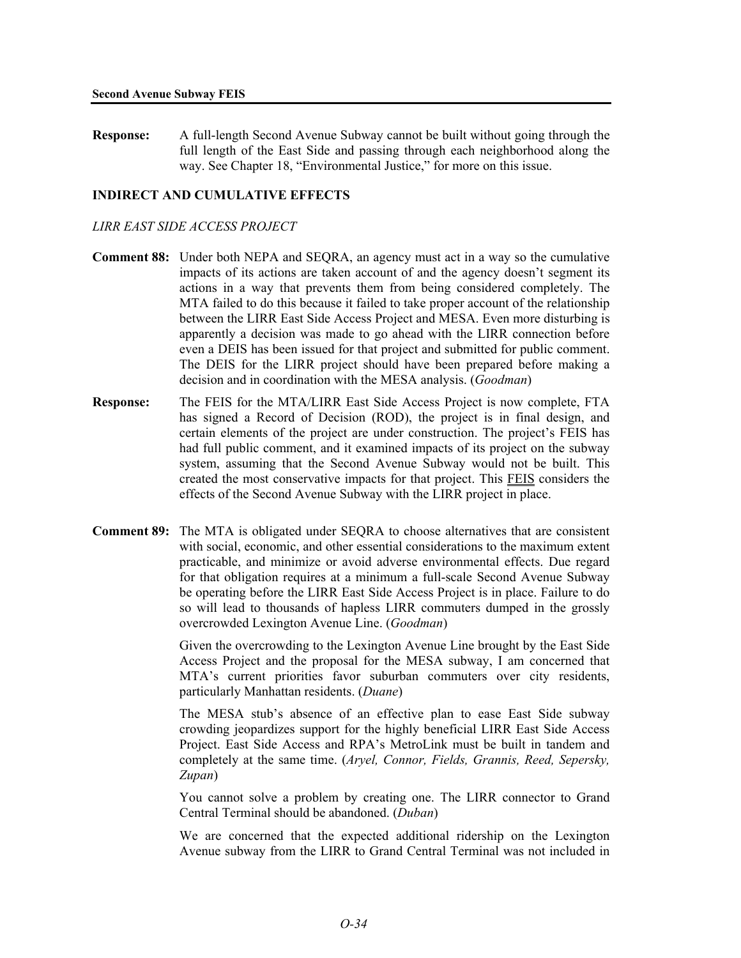**Response:** A full-length Second Avenue Subway cannot be built without going through the full length of the East Side and passing through each neighborhood along the way. See Chapter 18, "Environmental Justice," for more on this issue.

## **INDIRECT AND CUMULATIVE EFFECTS**

## *LIRR EAST SIDE ACCESS PROJECT*

- **Comment 88:** Under both NEPA and SEQRA, an agency must act in a way so the cumulative impacts of its actions are taken account of and the agency doesn't segment its actions in a way that prevents them from being considered completely. The MTA failed to do this because it failed to take proper account of the relationship between the LIRR East Side Access Project and MESA. Even more disturbing is apparently a decision was made to go ahead with the LIRR connection before even a DEIS has been issued for that project and submitted for public comment. The DEIS for the LIRR project should have been prepared before making a decision and in coordination with the MESA analysis. (*Goodman*)
- **Response:** The FEIS for the MTA/LIRR East Side Access Project is now complete, FTA has signed a Record of Decision (ROD), the project is in final design, and certain elements of the project are under construction. The project's FEIS has had full public comment, and it examined impacts of its project on the subway system, assuming that the Second Avenue Subway would not be built. This created the most conservative impacts for that project. This FEIS considers the effects of the Second Avenue Subway with the LIRR project in place.
- **Comment 89:** The MTA is obligated under SEQRA to choose alternatives that are consistent with social, economic, and other essential considerations to the maximum extent practicable, and minimize or avoid adverse environmental effects. Due regard for that obligation requires at a minimum a full-scale Second Avenue Subway be operating before the LIRR East Side Access Project is in place. Failure to do so will lead to thousands of hapless LIRR commuters dumped in the grossly overcrowded Lexington Avenue Line. (*Goodman*)

Given the overcrowding to the Lexington Avenue Line brought by the East Side Access Project and the proposal for the MESA subway, I am concerned that MTA's current priorities favor suburban commuters over city residents, particularly Manhattan residents. (*Duane*)

The MESA stub's absence of an effective plan to ease East Side subway crowding jeopardizes support for the highly beneficial LIRR East Side Access Project. East Side Access and RPA's MetroLink must be built in tandem and completely at the same time. (*Aryel, Connor, Fields, Grannis, Reed, Sepersky, Zupan*)

You cannot solve a problem by creating one. The LIRR connector to Grand Central Terminal should be abandoned. (*Duban*)

We are concerned that the expected additional ridership on the Lexington Avenue subway from the LIRR to Grand Central Terminal was not included in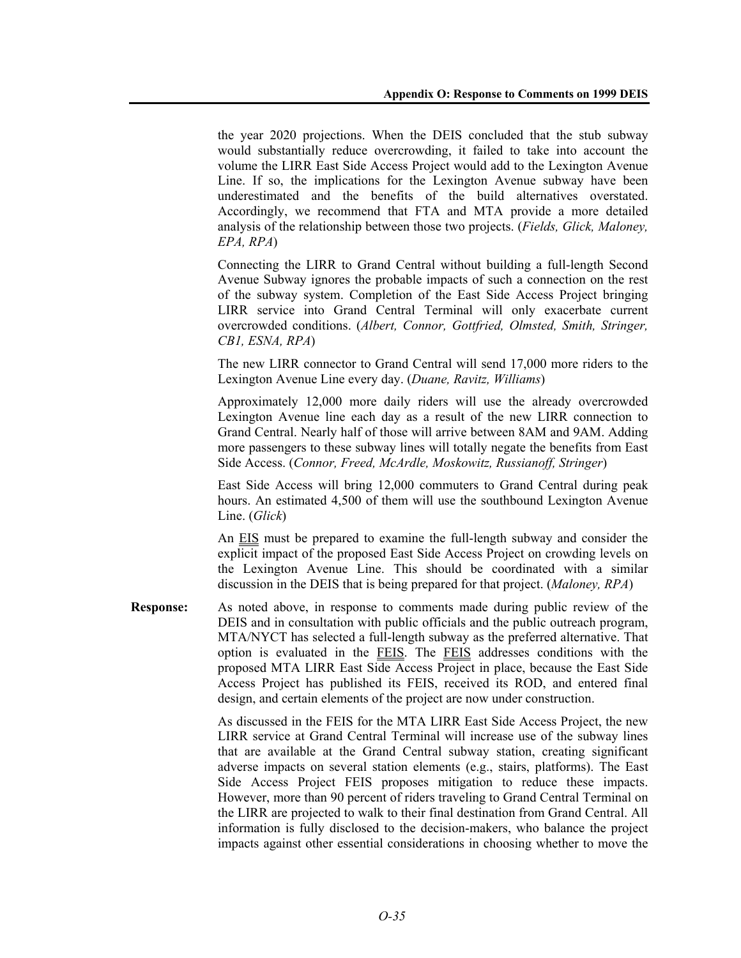the year 2020 projections. When the DEIS concluded that the stub subway would substantially reduce overcrowding, it failed to take into account the volume the LIRR East Side Access Project would add to the Lexington Avenue Line. If so, the implications for the Lexington Avenue subway have been underestimated and the benefits of the build alternatives overstated. Accordingly, we recommend that FTA and MTA provide a more detailed analysis of the relationship between those two projects. (*Fields, Glick, Maloney, EPA, RPA*)

Connecting the LIRR to Grand Central without building a full-length Second Avenue Subway ignores the probable impacts of such a connection on the rest of the subway system. Completion of the East Side Access Project bringing LIRR service into Grand Central Terminal will only exacerbate current overcrowded conditions. (*Albert, Connor, Gottfried, Olmsted, Smith, Stringer, CB1, ESNA, RPA*)

The new LIRR connector to Grand Central will send 17,000 more riders to the Lexington Avenue Line every day. (*Duane, Ravitz, Williams*)

Approximately 12,000 more daily riders will use the already overcrowded Lexington Avenue line each day as a result of the new LIRR connection to Grand Central. Nearly half of those will arrive between 8AM and 9AM. Adding more passengers to these subway lines will totally negate the benefits from East Side Access. (*Connor, Freed, McArdle, Moskowitz, Russianoff, Stringer*)

East Side Access will bring 12,000 commuters to Grand Central during peak hours. An estimated 4,500 of them will use the southbound Lexington Avenue Line. (*Glick*)

An EIS must be prepared to examine the full-length subway and consider the explicit impact of the proposed East Side Access Project on crowding levels on the Lexington Avenue Line. This should be coordinated with a similar discussion in the DEIS that is being prepared for that project. (*Maloney, RPA*)

**Response:** As noted above, in response to comments made during public review of the DEIS and in consultation with public officials and the public outreach program, MTA/NYCT has selected a full-length subway as the preferred alternative. That option is evaluated in the FEIS. The FEIS addresses conditions with the proposed MTA LIRR East Side Access Project in place, because the East Side Access Project has published its FEIS, received its ROD, and entered final design, and certain elements of the project are now under construction.

> As discussed in the FEIS for the MTA LIRR East Side Access Project, the new LIRR service at Grand Central Terminal will increase use of the subway lines that are available at the Grand Central subway station, creating significant adverse impacts on several station elements (e.g., stairs, platforms). The East Side Access Project FEIS proposes mitigation to reduce these impacts. However, more than 90 percent of riders traveling to Grand Central Terminal on the LIRR are projected to walk to their final destination from Grand Central. All information is fully disclosed to the decision-makers, who balance the project impacts against other essential considerations in choosing whether to move the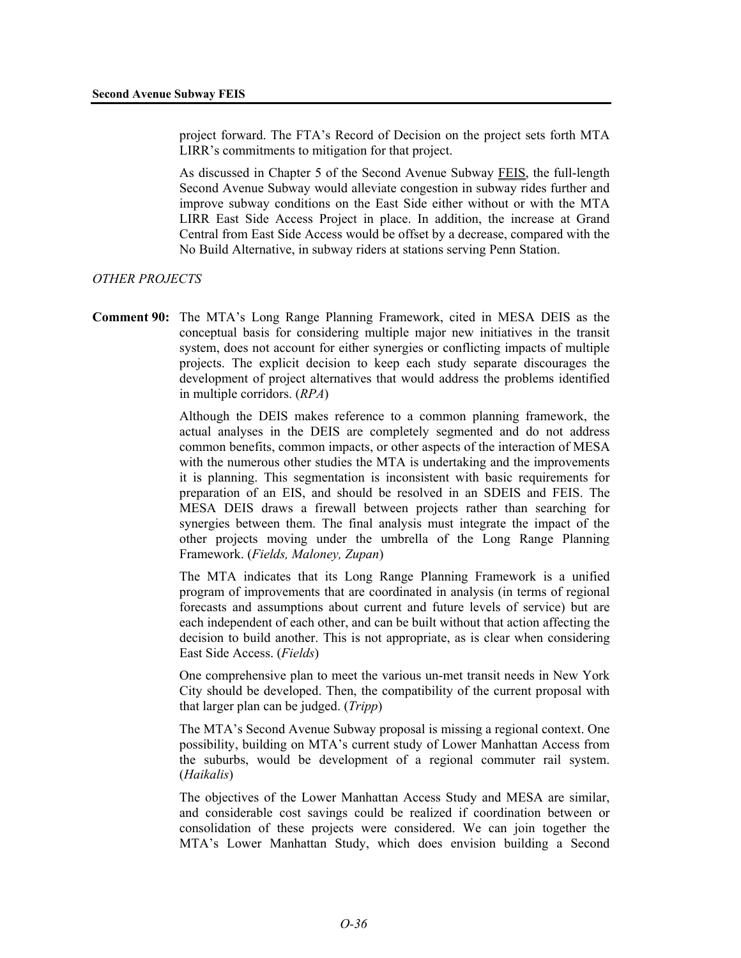project forward. The FTA's Record of Decision on the project sets forth MTA LIRR's commitments to mitigation for that project.

As discussed in Chapter 5 of the Second Avenue Subway FEIS, the full-length Second Avenue Subway would alleviate congestion in subway rides further and improve subway conditions on the East Side either without or with the MTA LIRR East Side Access Project in place. In addition, the increase at Grand Central from East Side Access would be offset by a decrease, compared with the No Build Alternative, in subway riders at stations serving Penn Station.

#### *OTHER PROJECTS*

**Comment 90:** The MTA's Long Range Planning Framework, cited in MESA DEIS as the conceptual basis for considering multiple major new initiatives in the transit system, does not account for either synergies or conflicting impacts of multiple projects. The explicit decision to keep each study separate discourages the development of project alternatives that would address the problems identified in multiple corridors. (*RPA*)

> Although the DEIS makes reference to a common planning framework, the actual analyses in the DEIS are completely segmented and do not address common benefits, common impacts, or other aspects of the interaction of MESA with the numerous other studies the MTA is undertaking and the improvements it is planning. This segmentation is inconsistent with basic requirements for preparation of an EIS, and should be resolved in an SDEIS and FEIS. The MESA DEIS draws a firewall between projects rather than searching for synergies between them. The final analysis must integrate the impact of the other projects moving under the umbrella of the Long Range Planning Framework. (*Fields, Maloney, Zupan*)

> The MTA indicates that its Long Range Planning Framework is a unified program of improvements that are coordinated in analysis (in terms of regional forecasts and assumptions about current and future levels of service) but are each independent of each other, and can be built without that action affecting the decision to build another. This is not appropriate, as is clear when considering East Side Access. (*Fields*)

> One comprehensive plan to meet the various un-met transit needs in New York City should be developed. Then, the compatibility of the current proposal with that larger plan can be judged. (*Tripp*)

> The MTA's Second Avenue Subway proposal is missing a regional context. One possibility, building on MTA's current study of Lower Manhattan Access from the suburbs, would be development of a regional commuter rail system. (*Haikalis*)

> The objectives of the Lower Manhattan Access Study and MESA are similar, and considerable cost savings could be realized if coordination between or consolidation of these projects were considered. We can join together the MTA's Lower Manhattan Study, which does envision building a Second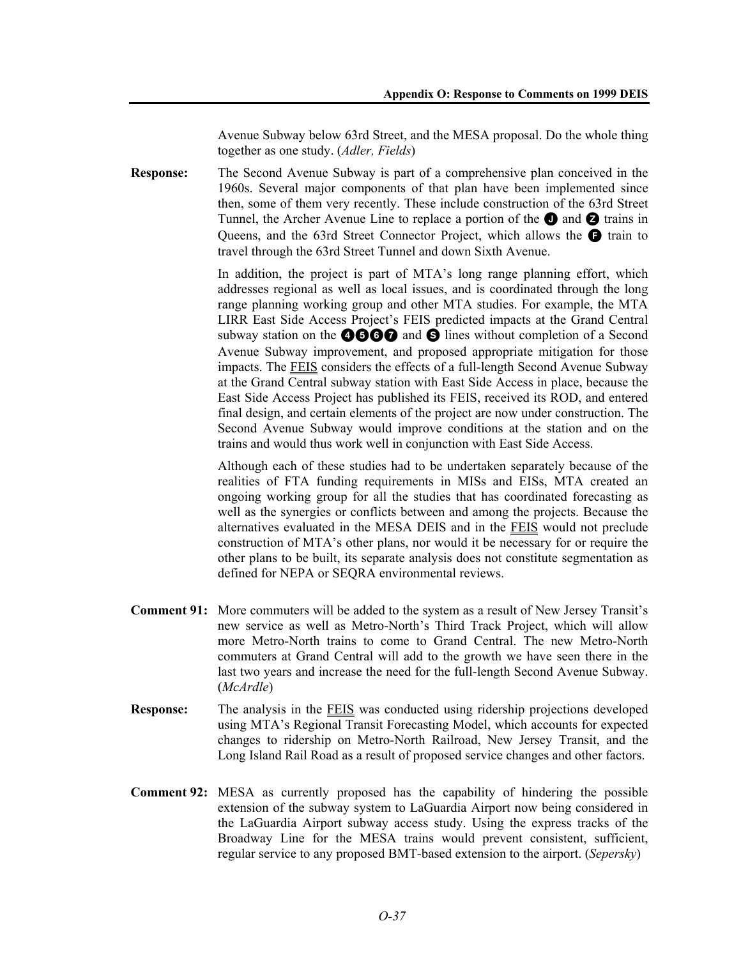Avenue Subway below 63rd Street, and the MESA proposal. Do the whole thing together as one study. (*Adler, Fields*)

**Response:** The Second Avenue Subway is part of a comprehensive plan conceived in the 1960s. Several major components of that plan have been implemented since then, some of them very recently. These include construction of the 63rd Street Tunnel, the Archer Avenue Line to replace a portion of the  $\bigcirc$  and  $\bigcirc$  trains in Queens, and the 63rd Street Connector Project, which allows the  $\bigcirc$  train to travel through the 63rd Street Tunnel and down Sixth Avenue.

> In addition, the project is part of MTA's long range planning effort, which addresses regional as well as local issues, and is coordinated through the long range planning working group and other MTA studies. For example, the MTA LIRR East Side Access Project's FEIS predicted impacts at the Grand Central subway station on the  $\bigcirc$   $\bigcirc$   $\bigcirc$  and  $\bigcirc$  lines without completion of a Second Avenue Subway improvement, and proposed appropriate mitigation for those impacts. The FEIS considers the effects of a full-length Second Avenue Subway at the Grand Central subway station with East Side Access in place, because the East Side Access Project has published its FEIS, received its ROD, and entered final design, and certain elements of the project are now under construction. The Second Avenue Subway would improve conditions at the station and on the trains and would thus work well in conjunction with East Side Access.

> Although each of these studies had to be undertaken separately because of the realities of FTA funding requirements in MISs and EISs, MTA created an ongoing working group for all the studies that has coordinated forecasting as well as the synergies or conflicts between and among the projects. Because the alternatives evaluated in the MESA DEIS and in the FEIS would not preclude construction of MTA's other plans, nor would it be necessary for or require the other plans to be built, its separate analysis does not constitute segmentation as defined for NEPA or SEQRA environmental reviews.

- **Comment 91:** More commuters will be added to the system as a result of New Jersey Transit's new service as well as Metro-North's Third Track Project, which will allow more Metro-North trains to come to Grand Central. The new Metro-North commuters at Grand Central will add to the growth we have seen there in the last two years and increase the need for the full-length Second Avenue Subway. (*McArdle*)
- **Response:** The analysis in the FEIS was conducted using ridership projections developed using MTA's Regional Transit Forecasting Model, which accounts for expected changes to ridership on Metro-North Railroad, New Jersey Transit, and the Long Island Rail Road as a result of proposed service changes and other factors.
- **Comment 92:** MESA as currently proposed has the capability of hindering the possible extension of the subway system to LaGuardia Airport now being considered in the LaGuardia Airport subway access study. Using the express tracks of the Broadway Line for the MESA trains would prevent consistent, sufficient, regular service to any proposed BMT-based extension to the airport. (*Sepersky*)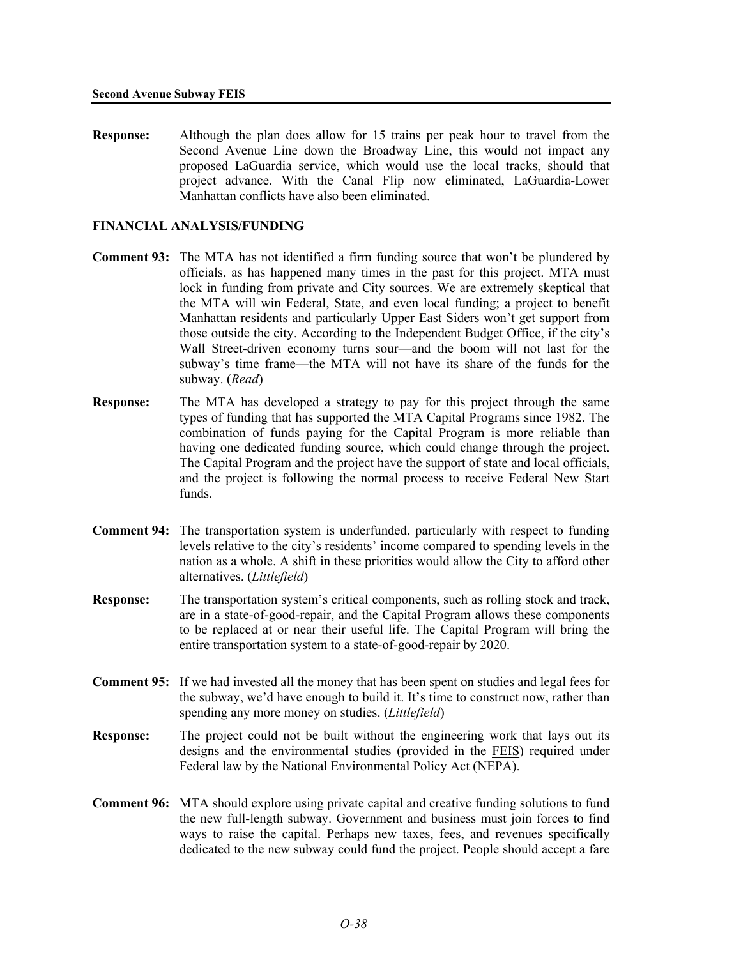**Response:** Although the plan does allow for 15 trains per peak hour to travel from the Second Avenue Line down the Broadway Line, this would not impact any proposed LaGuardia service, which would use the local tracks, should that project advance. With the Canal Flip now eliminated, LaGuardia-Lower Manhattan conflicts have also been eliminated.

## **FINANCIAL ANALYSIS/FUNDING**

- **Comment 93:** The MTA has not identified a firm funding source that won't be plundered by officials, as has happened many times in the past for this project. MTA must lock in funding from private and City sources. We are extremely skeptical that the MTA will win Federal, State, and even local funding; a project to benefit Manhattan residents and particularly Upper East Siders won't get support from those outside the city. According to the Independent Budget Office, if the city's Wall Street-driven economy turns sour—and the boom will not last for the subway's time frame—the MTA will not have its share of the funds for the subway. (*Read*)
- **Response:** The MTA has developed a strategy to pay for this project through the same types of funding that has supported the MTA Capital Programs since 1982. The combination of funds paying for the Capital Program is more reliable than having one dedicated funding source, which could change through the project. The Capital Program and the project have the support of state and local officials, and the project is following the normal process to receive Federal New Start funds.
- **Comment 94:** The transportation system is underfunded, particularly with respect to funding levels relative to the city's residents' income compared to spending levels in the nation as a whole. A shift in these priorities would allow the City to afford other alternatives. (*Littlefield*)
- **Response:** The transportation system's critical components, such as rolling stock and track, are in a state-of-good-repair, and the Capital Program allows these components to be replaced at or near their useful life. The Capital Program will bring the entire transportation system to a state-of-good-repair by 2020.
- **Comment 95:** If we had invested all the money that has been spent on studies and legal fees for the subway, we'd have enough to build it. It's time to construct now, rather than spending any more money on studies. (*Littlefield*)
- **Response:** The project could not be built without the engineering work that lays out its designs and the environmental studies (provided in the FEIS) required under Federal law by the National Environmental Policy Act (NEPA).
- **Comment 96:** MTA should explore using private capital and creative funding solutions to fund the new full-length subway. Government and business must join forces to find ways to raise the capital. Perhaps new taxes, fees, and revenues specifically dedicated to the new subway could fund the project. People should accept a fare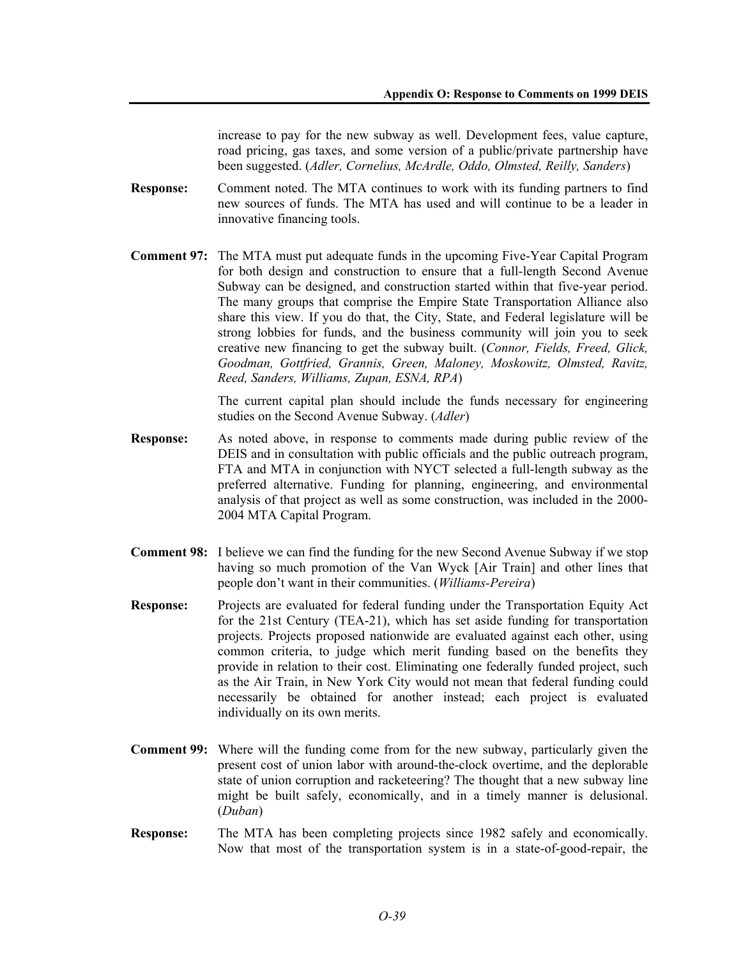increase to pay for the new subway as well. Development fees, value capture, road pricing, gas taxes, and some version of a public/private partnership have been suggested. (*Adler, Cornelius, McArdle, Oddo, Olmsted, Reilly, Sanders*)

- **Response:** Comment noted. The MTA continues to work with its funding partners to find new sources of funds. The MTA has used and will continue to be a leader in innovative financing tools.
- **Comment 97:** The MTA must put adequate funds in the upcoming Five-Year Capital Program for both design and construction to ensure that a full-length Second Avenue Subway can be designed, and construction started within that five-year period. The many groups that comprise the Empire State Transportation Alliance also share this view. If you do that, the City, State, and Federal legislature will be strong lobbies for funds, and the business community will join you to seek creative new financing to get the subway built. (*Connor, Fields, Freed, Glick, Goodman, Gottfried, Grannis, Green, Maloney, Moskowitz, Olmsted, Ravitz, Reed, Sanders, Williams, Zupan, ESNA, RPA*)

The current capital plan should include the funds necessary for engineering studies on the Second Avenue Subway. (*Adler*)

- **Response:** As noted above, in response to comments made during public review of the DEIS and in consultation with public officials and the public outreach program, FTA and MTA in conjunction with NYCT selected a full-length subway as the preferred alternative. Funding for planning, engineering, and environmental analysis of that project as well as some construction, was included in the 2000- 2004 MTA Capital Program.
- **Comment 98:** I believe we can find the funding for the new Second Avenue Subway if we stop having so much promotion of the Van Wyck [Air Train] and other lines that people don't want in their communities. (*Williams-Pereira*)
- **Response:** Projects are evaluated for federal funding under the Transportation Equity Act for the 21st Century (TEA-21), which has set aside funding for transportation projects. Projects proposed nationwide are evaluated against each other, using common criteria, to judge which merit funding based on the benefits they provide in relation to their cost. Eliminating one federally funded project, such as the Air Train, in New York City would not mean that federal funding could necessarily be obtained for another instead; each project is evaluated individually on its own merits.
- **Comment 99:** Where will the funding come from for the new subway, particularly given the present cost of union labor with around-the-clock overtime, and the deplorable state of union corruption and racketeering? The thought that a new subway line might be built safely, economically, and in a timely manner is delusional. (*Duban*)
- **Response:** The MTA has been completing projects since 1982 safely and economically. Now that most of the transportation system is in a state-of-good-repair, the